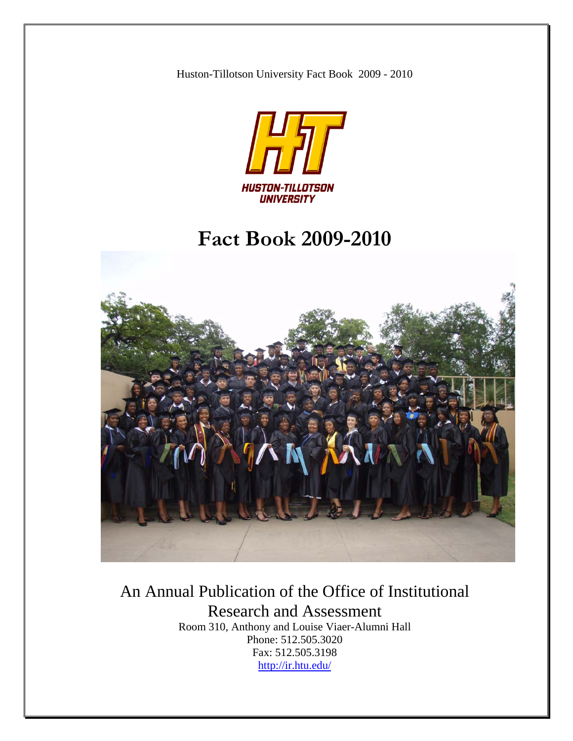Huston-Tillotson University Fact Book 2009 - 2010



# **Fact Book 2009-2010**



# An Annual Publication of the Office of Institutional Research and Assessment

Room 310, Anthony and Louise Viaer-Alumni Hall Phone: 512.505.3020 Fax: 512.505.3198 <http://ir.htu.edu/>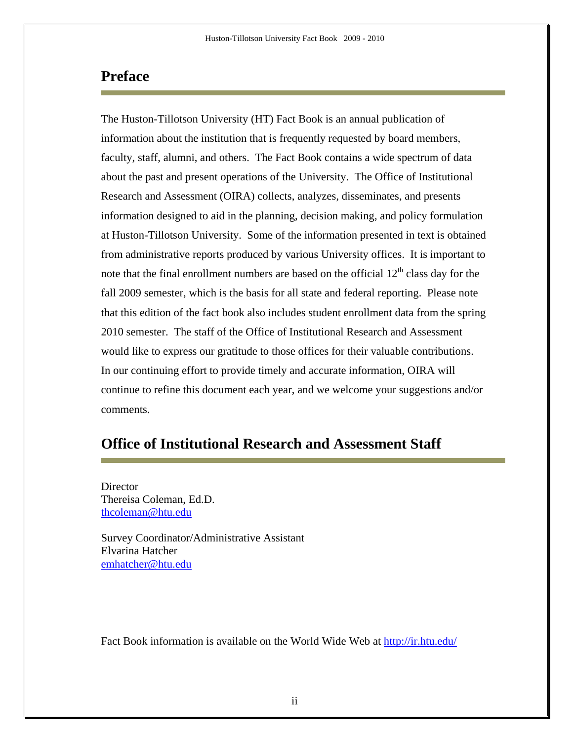### **Preface**

The Huston-Tillotson University (HT) Fact Book is an annual publication of information about the institution that is frequently requested by board members, faculty, staff, alumni, and others. The Fact Book contains a wide spectrum of data about the past and present operations of the University. The Office of Institutional Research and Assessment (OIRA) collects, analyzes, disseminates, and presents information designed to aid in the planning, decision making, and policy formulation at Huston-Tillotson University. Some of the information presented in text is obtained from administrative reports produced by various University offices. It is important to note that the final enrollment numbers are based on the official  $12<sup>th</sup>$  class day for the fall 2009 semester, which is the basis for all state and federal reporting. Please note that this edition of the fact book also includes student enrollment data from the spring 2010 semester. The staff of the Office of Institutional Research and Assessment would like to express our gratitude to those offices for their valuable contributions. In our continuing effort to provide timely and accurate information, OIRA will continue to refine this document each year, and we welcome your suggestions and/or comments.

### **Office of Institutional Research and Assessment Staff**

Director Thereisa Coleman, Ed.D. [thcoleman@htu.edu](mailto:thcoleman@htu.edu)

Survey Coordinator/Administrative Assistant Elvarina Hatcher [emhatcher@htu.edu](mailto:emhatcher@htu.edu)

Fact Book information is available on the World Wide Web at<http://ir.htu.edu/>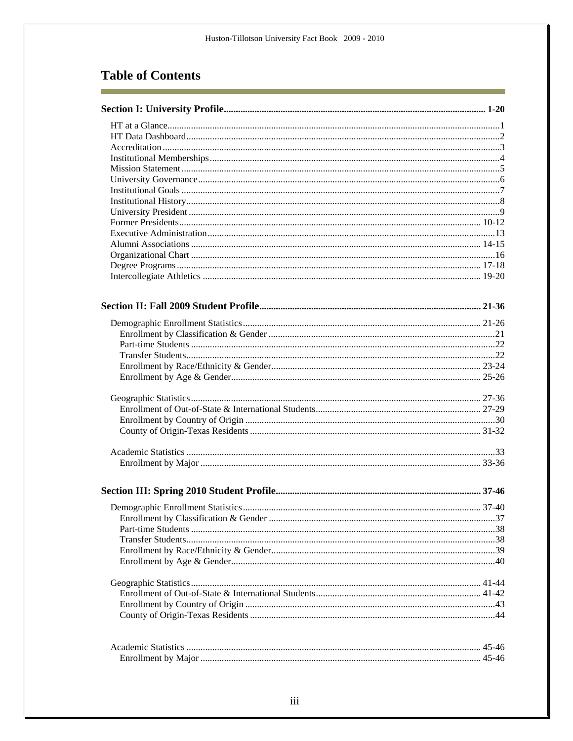### **Table of Contents**

r.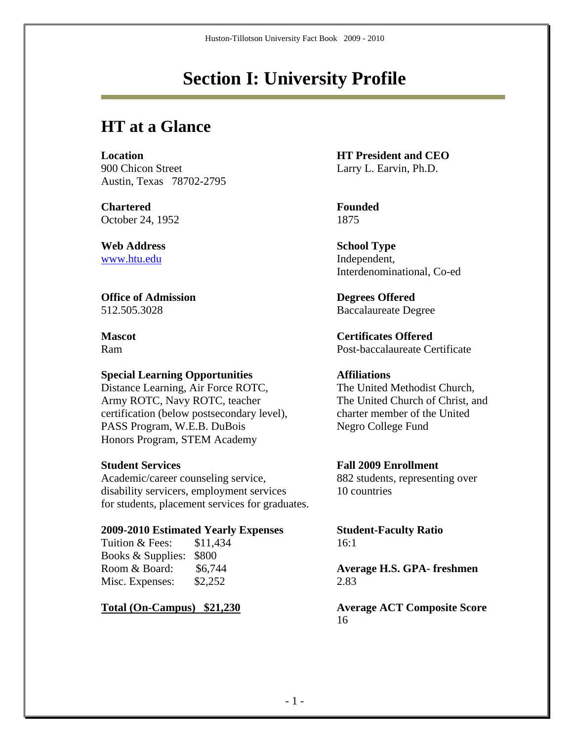# **Section I: University Profile**

## **HT at a Glance**

**Location**<br> **HT President and CEO**<br> **Larry L. Earvin. Ph.D.** Austin, Texas 78702-2795

**Chartered Founded**  October 24, 1952 1875

**Web Address School Type** [www.htu.edu](http://www.htu.edu/) Independent,

**Office of Admission Degrees Offered** 

#### **Special Learning Opportunities Affiliations**

Distance Learning, Air Force ROTC, The United Methodist Church, Army ROTC, Navy ROTC, teacher The United Church of Christ, and certification (below postsecondary level), charter member of the United PASS Program, W.E.B. DuBois Negro College Fund Honors Program, STEM Academy

Academic/career counseling service, 882 students, representing over disability servicers, employment services 10 countries for students, placement services for graduates.

#### **2009-2010 Estimated Yearly Expenses Student-Faculty Ratio**

| \$11,434                | 16:1 |
|-------------------------|------|
| Books & Supplies: \$800 |      |
| \$6,744                 | Aver |
| \$2,252                 | 2.83 |
|                         |      |

Larry L. Earvin, Ph.D.

Interdenominational, Co-ed

512.505.3028 Baccalaureate Degree

**Mascot Certificates Offered** Ram Post-baccalaureate Certificate

#### **Student Services Fall 2009 Enrollment**

Average H.S. GPA- freshmen

**Total (On-Campus) \$21,230 Average ACT Composite Score** 16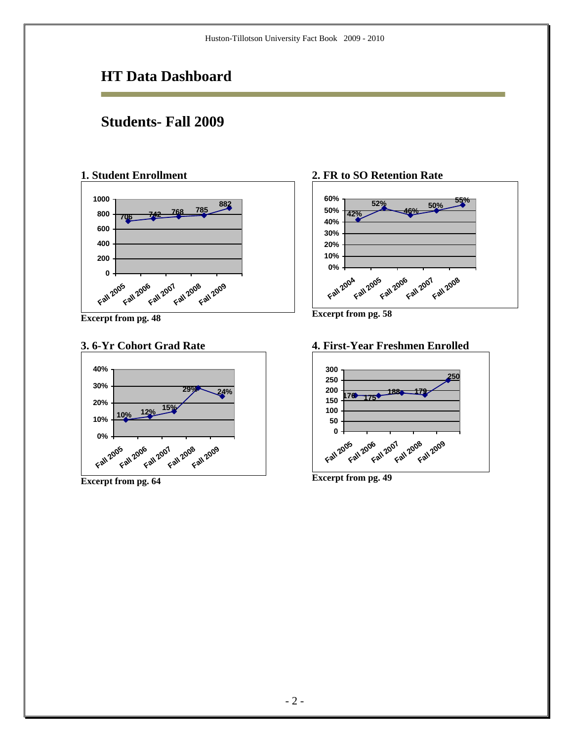### **HT Data Dashboard**

### **Students- Fall 2009**

### **1. Student Enrollment**



**Excerpt from pg. 48** 

#### **3. 6-Yr Cohort Grad Rate**



**Excerpt from pg. 64**

#### **2. FR to SO Retention Rate**



**Excerpt from pg. 58**

#### **4. First-Year Freshmen Enrolled**



**Excerpt from pg. 49**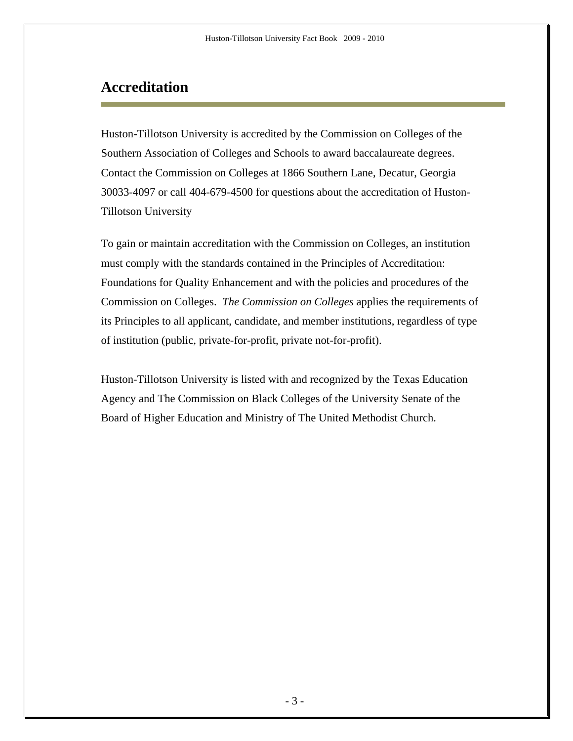### **Accreditation**

Huston-Tillotson University is accredited by the Commission on Colleges of the Southern Association of Colleges and Schools to award baccalaureate degrees. Contact the Commission on Colleges at 1866 Southern Lane, Decatur, Georgia 30033-4097 or call 404-679-4500 for questions about the accreditation of Huston-Tillotson University

To gain or maintain accreditation with the Commission on Colleges, an institution must comply with the standards contained in the Principles of Accreditation: Foundations for Quality Enhancement and with the policies and procedures of the Commission on Colleges. *The Commission on Colleges* applies the requirements of its Principles to all applicant, candidate, and member institutions, regardless of type of institution (public, private-for-profit, private not-for-profit).

Huston-Tillotson University is listed with and recognized by the Texas Education Agency and The Commission on Black Colleges of the University Senate of the Board of Higher Education and Ministry of The United Methodist Church.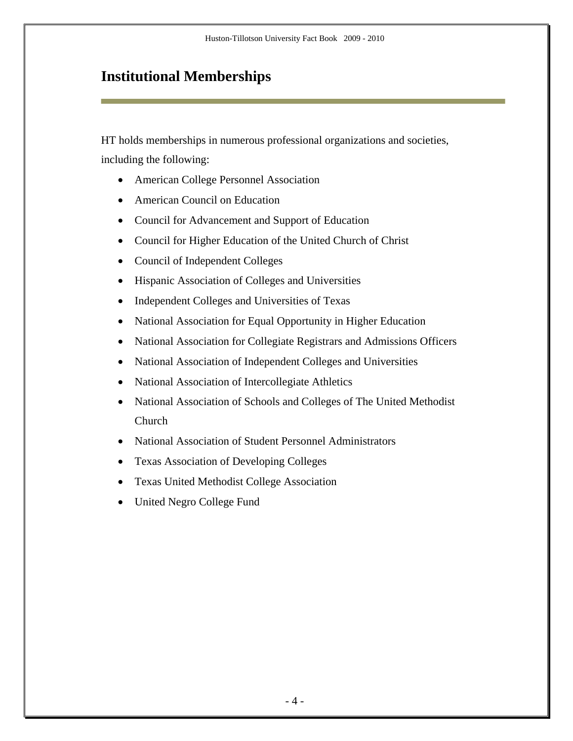## **Institutional Memberships**

HT holds memberships in numerous professional organizations and societies, including the following:

- American College Personnel Association
- American Council on Education
- Council for Advancement and Support of Education
- Council for Higher Education of the United Church of Christ
- Council of Independent Colleges
- Hispanic Association of Colleges and Universities
- Independent Colleges and Universities of Texas
- National Association for Equal Opportunity in Higher Education
- National Association for Collegiate Registrars and Admissions Officers
- National Association of Independent Colleges and Universities
- National Association of Intercollegiate Athletics
- National Association of Schools and Colleges of The United Methodist Church
- National Association of Student Personnel Administrators
- Texas Association of Developing Colleges
- Texas United Methodist College Association
- United Negro College Fund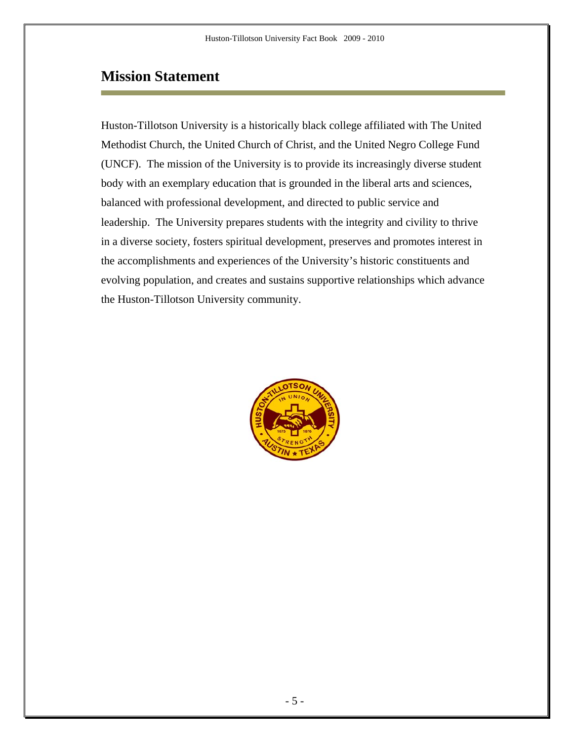### **Mission Statement**

Huston-Tillotson University is a historically black college affiliated with The United Methodist Church, the United Church of Christ, and the United Negro College Fund (UNCF). The mission of the University is to provide its increasingly diverse student body with an exemplary education that is grounded in the liberal arts and sciences, balanced with professional development, and directed to public service and leadership. The University prepares students with the integrity and civility to thrive in a diverse society, fosters spiritual development, preserves and promotes interest in the accomplishments and experiences of the University's historic constituents and evolving population, and creates and sustains supportive relationships which advance the Huston-Tillotson University community.

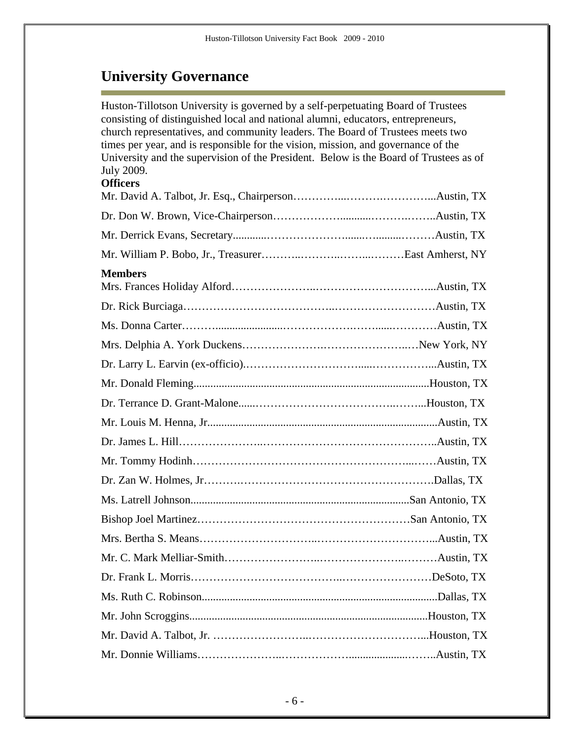# **University Governance**

Ē.

| Huston-Tillotson University is governed by a self-perpetuating Board of Trustees<br>consisting of distinguished local and national alumni, educators, entrepreneurs,<br>church representatives, and community leaders. The Board of Trustees meets two<br>times per year, and is responsible for the vision, mission, and governance of the<br>University and the supervision of the President. Below is the Board of Trustees as of<br>July 2009.<br><b>Officers</b> |  |
|-----------------------------------------------------------------------------------------------------------------------------------------------------------------------------------------------------------------------------------------------------------------------------------------------------------------------------------------------------------------------------------------------------------------------------------------------------------------------|--|
|                                                                                                                                                                                                                                                                                                                                                                                                                                                                       |  |
|                                                                                                                                                                                                                                                                                                                                                                                                                                                                       |  |
|                                                                                                                                                                                                                                                                                                                                                                                                                                                                       |  |
| <b>Members</b>                                                                                                                                                                                                                                                                                                                                                                                                                                                        |  |
|                                                                                                                                                                                                                                                                                                                                                                                                                                                                       |  |
|                                                                                                                                                                                                                                                                                                                                                                                                                                                                       |  |
|                                                                                                                                                                                                                                                                                                                                                                                                                                                                       |  |
|                                                                                                                                                                                                                                                                                                                                                                                                                                                                       |  |
|                                                                                                                                                                                                                                                                                                                                                                                                                                                                       |  |
|                                                                                                                                                                                                                                                                                                                                                                                                                                                                       |  |
|                                                                                                                                                                                                                                                                                                                                                                                                                                                                       |  |
|                                                                                                                                                                                                                                                                                                                                                                                                                                                                       |  |
|                                                                                                                                                                                                                                                                                                                                                                                                                                                                       |  |
|                                                                                                                                                                                                                                                                                                                                                                                                                                                                       |  |
|                                                                                                                                                                                                                                                                                                                                                                                                                                                                       |  |
|                                                                                                                                                                                                                                                                                                                                                                                                                                                                       |  |
|                                                                                                                                                                                                                                                                                                                                                                                                                                                                       |  |
|                                                                                                                                                                                                                                                                                                                                                                                                                                                                       |  |
|                                                                                                                                                                                                                                                                                                                                                                                                                                                                       |  |
|                                                                                                                                                                                                                                                                                                                                                                                                                                                                       |  |
|                                                                                                                                                                                                                                                                                                                                                                                                                                                                       |  |
|                                                                                                                                                                                                                                                                                                                                                                                                                                                                       |  |
|                                                                                                                                                                                                                                                                                                                                                                                                                                                                       |  |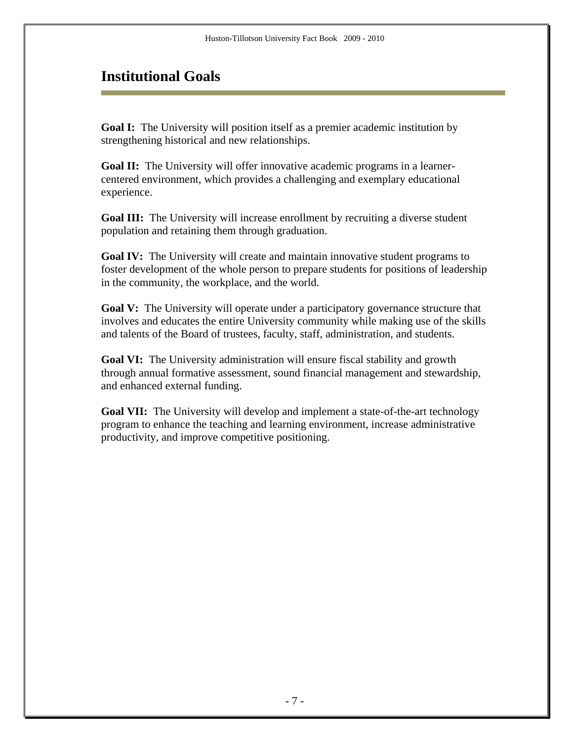### **Institutional Goals**

**Goal I:** The University will position itself as a premier academic institution by strengthening historical and new relationships.

**Goal II:** The University will offer innovative academic programs in a learnercentered environment, which provides a challenging and exemplary educational experience.

**Goal III:** The University will increase enrollment by recruiting a diverse student population and retaining them through graduation.

**Goal IV:** The University will create and maintain innovative student programs to foster development of the whole person to prepare students for positions of leadership in the community, the workplace, and the world.

**Goal V:** The University will operate under a participatory governance structure that involves and educates the entire University community while making use of the skills and talents of the Board of trustees, faculty, staff, administration, and students.

**Goal VI:** The University administration will ensure fiscal stability and growth through annual formative assessment, sound financial management and stewardship, and enhanced external funding.

**Goal VII:** The University will develop and implement a state-of-the-art technology program to enhance the teaching and learning environment, increase administrative productivity, and improve competitive positioning.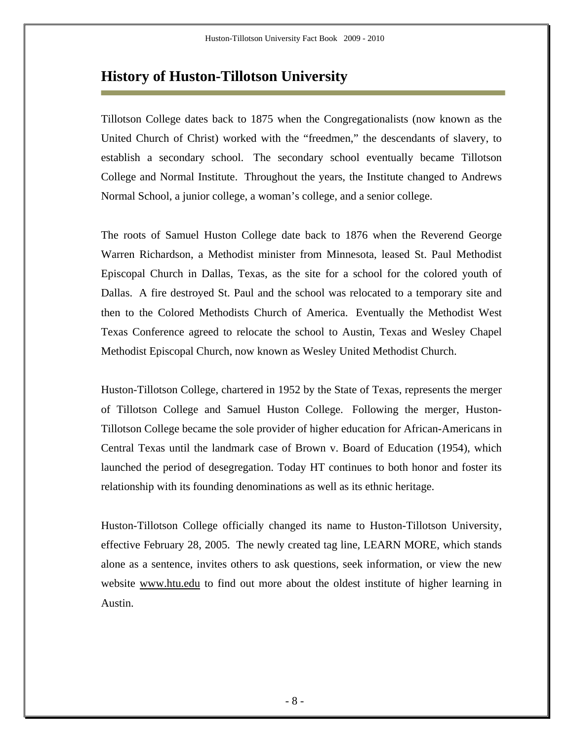### **History of Huston-Tillotson University**

Tillotson College dates back to 1875 when the Congregationalists (now known as the United Church of Christ) worked with the "freedmen," the descendants of slavery, to establish a secondary school. The secondary school eventually became Tillotson College and Normal Institute. Throughout the years, the Institute changed to Andrews Normal School, a junior college, a woman's college, and a senior college.

The roots of Samuel Huston College date back to 1876 when the Reverend George Warren Richardson, a Methodist minister from Minnesota, leased St. Paul Methodist Episcopal Church in Dallas, Texas, as the site for a school for the colored youth of Dallas. A fire destroyed St. Paul and the school was relocated to a temporary site and then to the Colored Methodists Church of America. Eventually the Methodist West Texas Conference agreed to relocate the school to Austin, Texas and Wesley Chapel Methodist Episcopal Church, now known as Wesley United Methodist Church.

Huston-Tillotson College, chartered in 1952 by the State of Texas, represents the merger of Tillotson College and Samuel Huston College. Following the merger, Huston-Tillotson College became the sole provider of higher education for African-Americans in Central Texas until the landmark case of Brown v. Board of Education (1954), which launched the period of desegregation. Today HT continues to both honor and foster its relationship with its founding denominations as well as its ethnic heritage.

Huston-Tillotson College officially changed its name to Huston-Tillotson University, effective February 28, 2005. The newly created tag line, LEARN MORE, which stands alone as a sentence, invites others to ask questions, seek information, or view the new website www.htu.edu to find out more about the oldest institute of higher learning in Austin.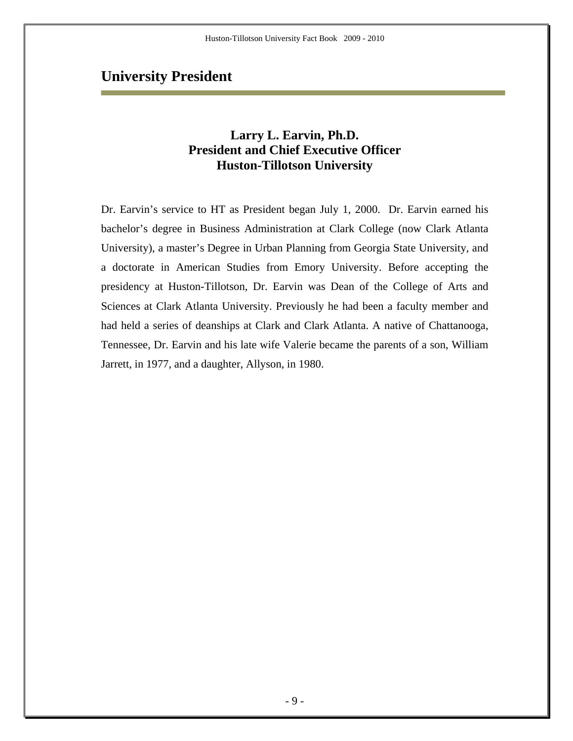### **University President**

### **Larry L. Earvin, Ph.D. President and Chief Executive Officer Huston-Tillotson University**

Dr. Earvin's service to HT as President began July 1, 2000. Dr. Earvin earned his bachelor's degree in Business Administration at Clark College (now Clark Atlanta University), a master's Degree in Urban Planning from Georgia State University, and a doctorate in American Studies from Emory University. Before accepting the presidency at Huston-Tillotson, Dr. Earvin was Dean of the College of Arts and Sciences at Clark Atlanta University. Previously he had been a faculty member and had held a series of deanships at Clark and Clark Atlanta. A native of Chattanooga, Tennessee, Dr. Earvin and his late wife Valerie became the parents of a son, William Jarrett, in 1977, and a daughter, Allyson, in 1980.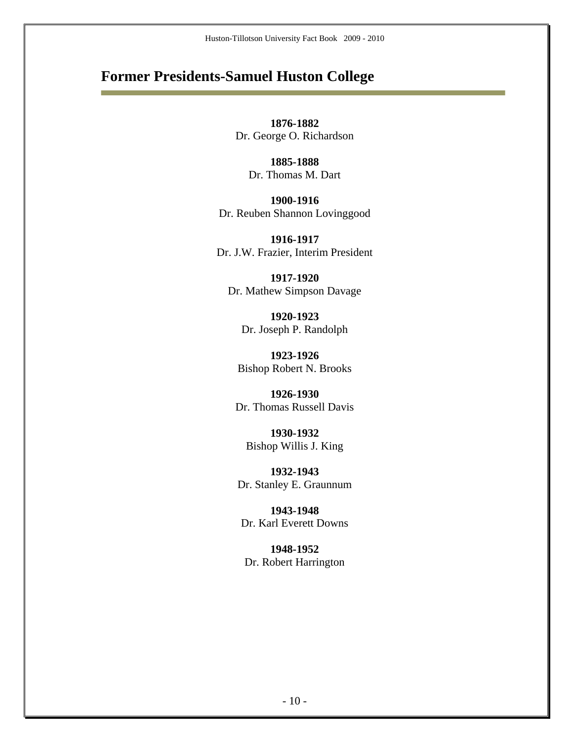### **Former Presidents-Samuel Huston College**

**1876-1882**  Dr. George O. Richardson

> **1885-1888**  Dr. Thomas M. Dart

**1900-1916**  Dr. Reuben Shannon Lovinggood

**1916-1917**  Dr. J.W. Frazier, Interim President

**1917-1920**  Dr. Mathew Simpson Davage

**1920-1923**  Dr. Joseph P. Randolph

**1923-1926**  Bishop Robert N. Brooks

**1926-1930**  Dr. Thomas Russell Davis

**1930-1932**  Bishop Willis J. King

**1932-1943**  Dr. Stanley E. Graunnum

**1943-1948**  Dr. Karl Everett Downs

**1948-1952**  Dr. Robert Harrington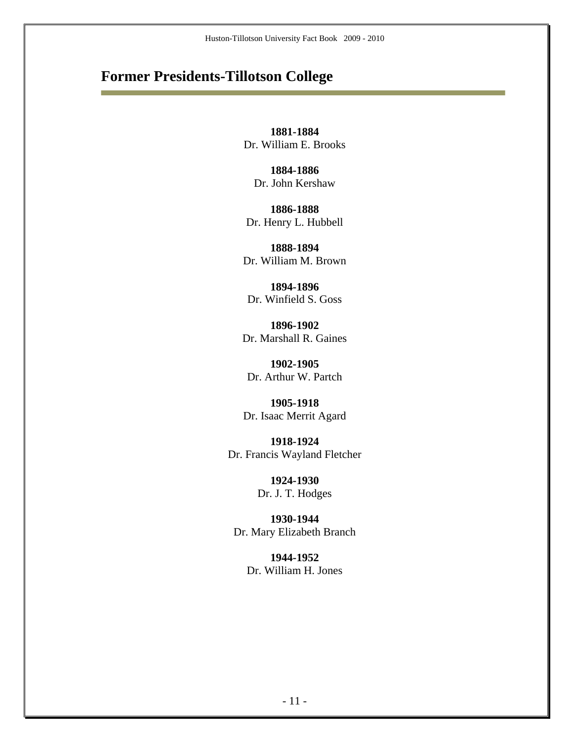### **Former Presidents-Tillotson College**

**1881-1884**  Dr. William E. Brooks

**1884-1886**  Dr. John Kershaw

**1886-1888**  Dr. Henry L. Hubbell

**1888-1894**  Dr. William M. Brown

**1894-1896**  Dr. Winfield S. Goss

**1896-1902**  Dr. Marshall R. Gaines

**1902-1905**  Dr. Arthur W. Partch

**1905-1918**  Dr. Isaac Merrit Agard

**1918-1924**  Dr. Francis Wayland Fletcher

> **1924-1930**  Dr. J. T. Hodges

**1930-1944**  Dr. Mary Elizabeth Branch

> **1944-1952**  Dr. William H. Jones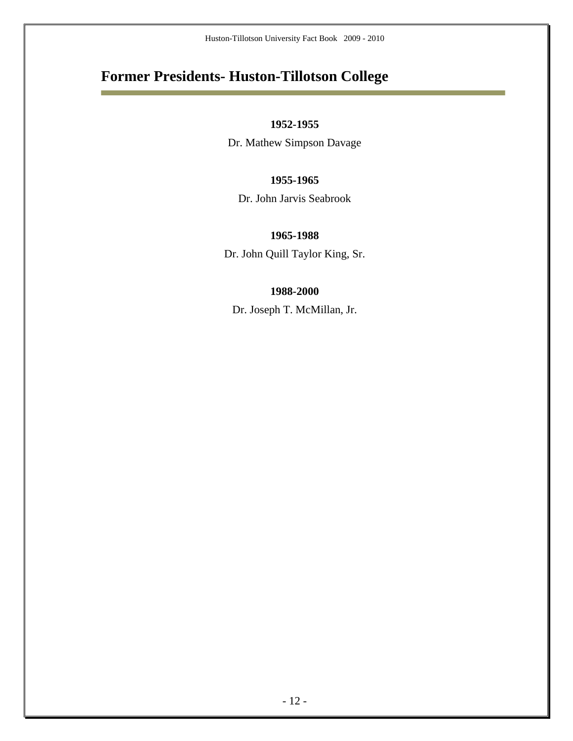## **Former Presidents- Huston-Tillotson College**

Ė

#### **1952-1955**

Dr. Mathew Simpson Davage

#### **1955-1965**

Dr. John Jarvis Seabrook

#### **1965-1988**

Dr. John Quill Taylor King, Sr.

#### **1988-2000**

Dr. Joseph T. McMillan, Jr.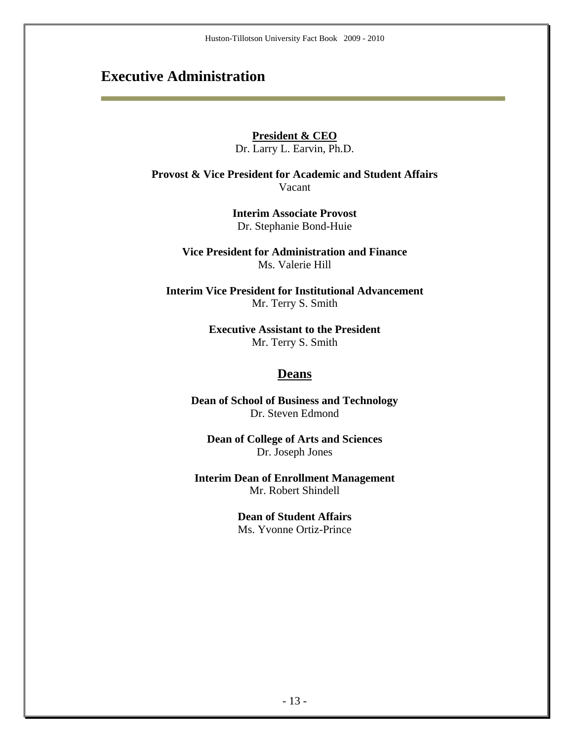### **Executive Administration**

#### **President & CEO**

Dr. Larry L. Earvin, Ph.D.

**Provost & Vice President for Academic and Student Affairs**  Vacant

> **Interim Associate Provost**  Dr. Stephanie Bond-Huie

**Vice President for Administration and Finance**  Ms. Valerie Hill

**Interim Vice President for Institutional Advancement**  Mr. Terry S. Smith

> **Executive Assistant to the President**  Mr. Terry S. Smith

#### **Deans**

**Dean of School of Business and Technology**  Dr. Steven Edmond

**Dean of College of Arts and Sciences**  Dr. Joseph Jones

**Interim Dean of Enrollment Management**  Mr. Robert Shindell

> **Dean of Student Affairs**  Ms. Yvonne Ortiz-Prince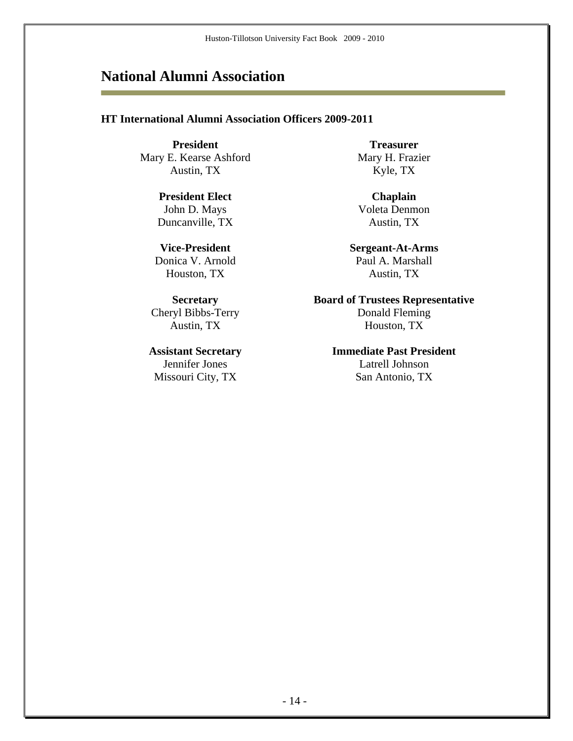### **National Alumni Association**

#### **HT International Alumni Association Officers 2009-2011**

**President Treasurer Treasurer** Mary E. Kearse Ashford Mary H. Frazier Austin, TX Kyle, TX

**President Elect** Chaplain John D. Mays Voleta Denmon Duncanville, TX Austin, TX

Missouri City, TX San Antonio, TX

**Vice-President Sergeant-At-Arms**  Donica V. Arnold Paul A. Marshall Houston, TX Austin, TX

**Secretary Board of Trustees Representative**  Cheryl Bibbs-Terry Donald Fleming Austin, TX Houston, TX

**Assistant Secretary Immediate Past President**  Jennifer Jones Latrell Johnson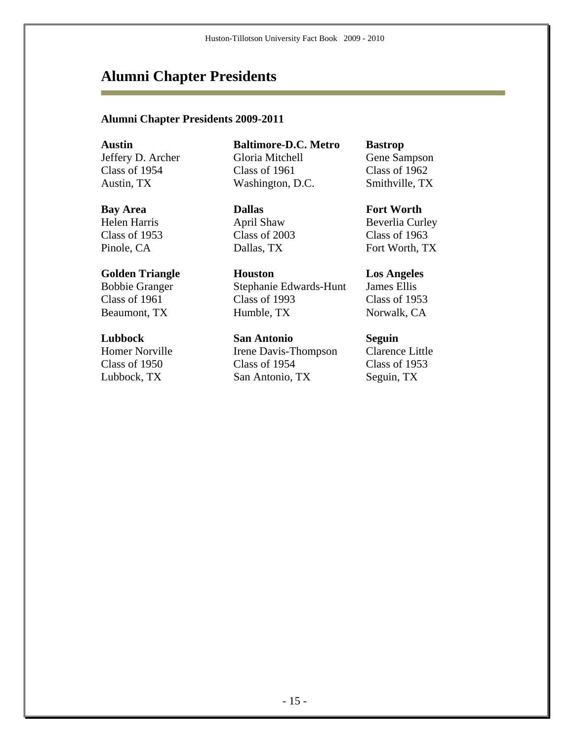### **Alumni Chapter Presidents**

#### **Alumni Chapter Presidents 2009-2011**

Jeffery D. Archer Class of 1954

Helen Harris Class of 1953

# Bobbie Granger Class of 1961

Homer Norville Class of 1950

**Austin Baltimore-D.C. Metro Bastrop**  Gloria Mitchell Class of 1961 Austin, TX Washington, D.C. Smithville, TX

**Bay Area Dallas Fort Worth** April Shaw Class of 2003

**Golden Triangle Houston Los Angeles**  Stephanie Edwards-Hunt Class of 1993 Beaumont, TX Humble, TX Norwalk, CA

**Lubbock San Antonio Seguin**  Irene Davis-Thompson Class of 1954 Lubbock, TX San Antonio, TX Seguin, TX

Gene Sampson Class of 1962

Beverlia Curley Class of 1963 Pinole, CA Dallas, TX Fort Worth, TX

> James Ellis Class of 1953

Clarence Little Class of 1953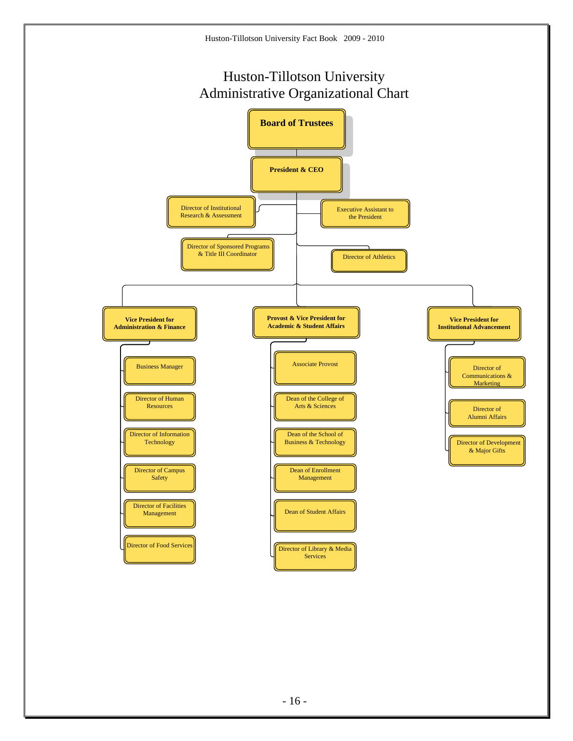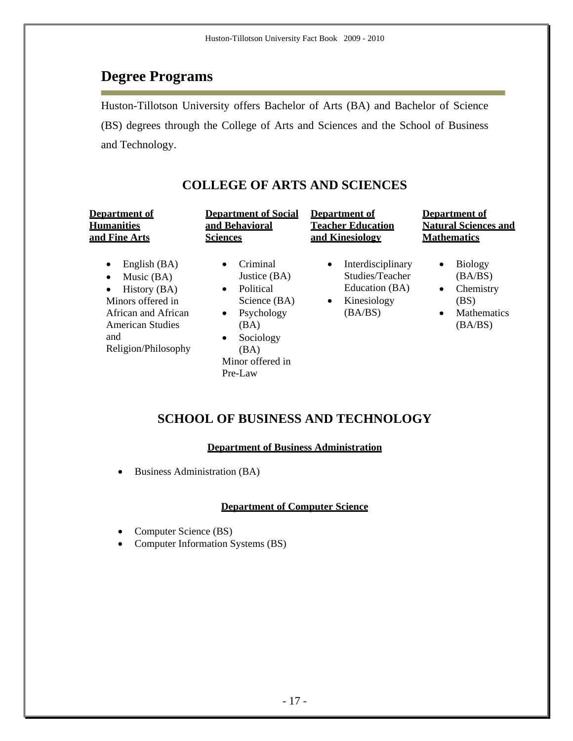### **Degree Programs**

Huston-Tillotson University offers Bachelor of Arts (BA) and Bachelor of Science (BS) degrees through the College of Arts and Sciences and the School of Business and Technology.

### **COLLEGE OF ARTS AND SCIENCES**

| Department of                                                                                                                                                                            | <b>Department of Social</b>                                                                                                                                                                | <b>Department of</b>                                                                                       | <b>Department of</b>                                                                                                   |
|------------------------------------------------------------------------------------------------------------------------------------------------------------------------------------------|--------------------------------------------------------------------------------------------------------------------------------------------------------------------------------------------|------------------------------------------------------------------------------------------------------------|------------------------------------------------------------------------------------------------------------------------|
| <b>Humanities</b>                                                                                                                                                                        | and Behavioral                                                                                                                                                                             | <b>Teacher Education</b>                                                                                   | <b>Natural Sciences and</b>                                                                                            |
| and Fine Arts                                                                                                                                                                            | <b>Sciences</b>                                                                                                                                                                            | and Kinesiology                                                                                            | <b>Mathematics</b>                                                                                                     |
| English (BA)<br>$\bullet$<br>Music $(BA)$<br>$\bullet$<br>History (BA)<br>$\bullet$<br>Minors offered in<br>African and African<br><b>American Studies</b><br>and<br>Religion/Philosophy | Criminal<br>$\bullet$<br>Justice (BA)<br><b>Political</b><br>$\bullet$<br>Science (BA)<br>Psychology<br>$\bullet$<br>(BA)<br>Sociology<br>$\bullet$<br>(BA)<br>Minor offered in<br>Pre-Law | Interdisciplinary<br>$\bullet$<br>Studies/Teacher<br>Education (BA)<br>Kinesiology<br>$\bullet$<br>(BA/BS) | <b>Biology</b><br>$\bullet$<br>(BA/BS)<br>Chemistry<br>$\bullet$<br>(BS)<br><b>Mathematics</b><br>$\bullet$<br>(BA/BS) |

### **SCHOOL OF BUSINESS AND TECHNOLOGY**

#### **Department of Business Administration**

Business Administration (BA)

#### **Department of Computer Science**

- Computer Science (BS)
- Computer Information Systems (BS)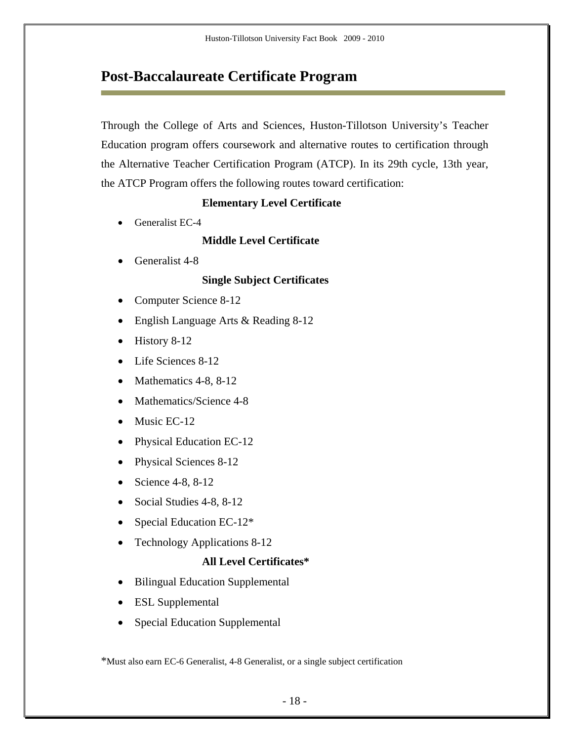### **Post-Baccalaureate Certificate Program**

Through the College of Arts and Sciences, Huston-Tillotson University's Teacher Education program offers coursework and alternative routes to certification through the Alternative Teacher Certification Program (ATCP). In its 29th cycle, 13th year, the ATCP Program offers the following routes toward certification:

#### **Elementary Level Certificate**

• Generalist EC-4

#### **Middle Level Certificate**

• Generalist 4-8

#### **Single Subject Certificates**

- Computer Science 8-12
- English Language Arts & Reading 8-12
- $\bullet$  History 8-12
- Life Sciences 8-12
- Mathematics  $4-8$ ,  $8-12$
- Mathematics/Science 4-8
- $\bullet$  Music EC-12
- Physical Education EC-12
- Physical Sciences 8-12
- Science  $4-8$ ,  $8-12$
- Social Studies 4-8, 8-12
- Special Education EC-12\*
- Technology Applications 8-12

#### **All Level Certificates\***

- Bilingual Education Supplemental
- ESL Supplemental
- Special Education Supplemental

\*Must also earn EC-6 Generalist, 4-8 Generalist, or a single subject certification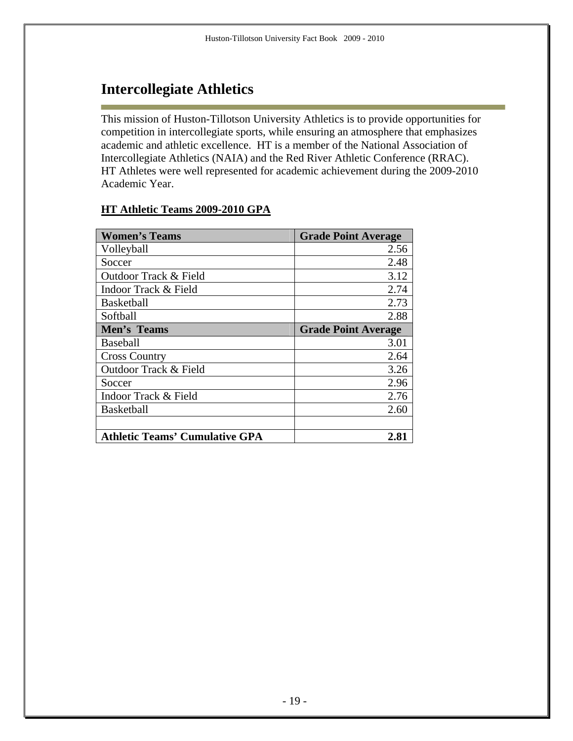### **Intercollegiate Athletics**

This mission of Huston-Tillotson University Athletics is to provide opportunities for competition in intercollegiate sports, while ensuring an atmosphere that emphasizes academic and athletic excellence. HT is a member of the National Association of Intercollegiate Athletics (NAIA) and the Red River Athletic Conference (RRAC). HT Athletes were well represented for academic achievement during the 2009-2010 Academic Year.

#### **HT Athletic Teams 2009-2010 GPA**

| <b>Women's Teams</b>                  | <b>Grade Point Average</b> |
|---------------------------------------|----------------------------|
| Volleyball                            | 2.56                       |
| Soccer                                | 2.48                       |
| Outdoor Track & Field                 | 3.12                       |
| Indoor Track & Field                  | 2.74                       |
| <b>Basketball</b>                     | 2.73                       |
| Softball                              | 2.88                       |
| Men's Teams                           | <b>Grade Point Average</b> |
| Baseball                              | 3.01                       |
| <b>Cross Country</b>                  | 2.64                       |
| Outdoor Track & Field                 | 3.26                       |
| Soccer                                | 2.96                       |
| Indoor Track & Field                  | 2.76                       |
| <b>Basketball</b>                     | 2.60                       |
|                                       |                            |
| <b>Athletic Teams' Cumulative GPA</b> | 2.81                       |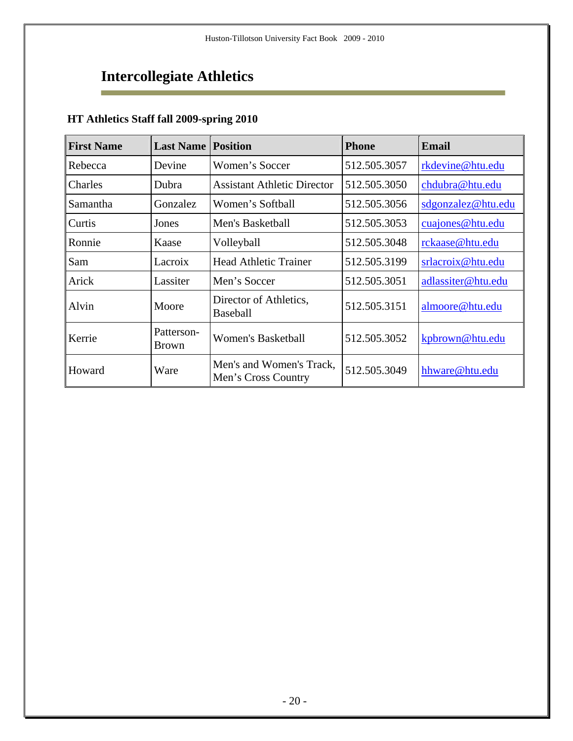### **Intercollegiate Athletics**  Ē.

### **HT Athletics Staff fall 2009-spring 2010**

| <b>First Name</b> | <b>Last Name</b>           | <b>Position</b>                                 | <b>Phone</b> | <b>Email</b>       |
|-------------------|----------------------------|-------------------------------------------------|--------------|--------------------|
| Rebecca           | Devine                     | Women's Soccer                                  | 512.505.3057 | rkdevine@htu.edu   |
| Charles           | Dubra                      | <b>Assistant Athletic Director</b>              | 512.505.3050 | chdubra@htu.edu    |
| Samantha          | Gonzalez                   | Women's Softball                                | 512.505.3056 | sdgonzalez@htu.edu |
| Curtis            | Jones                      | Men's Basketball                                | 512.505.3053 | cuajones@htu.edu   |
| Ronnie            | Kaase                      | Volleyball                                      | 512.505.3048 | rckaase@htu.edu    |
| Sam               | Lacroix                    | <b>Head Athletic Trainer</b>                    | 512.505.3199 | srlacroix@htu.edu  |
| Arick             | Lassiter                   | Men's Soccer                                    | 512.505.3051 | adlassiter@htu.edu |
| Alvin             | Moore                      | Director of Athletics,<br>Baseball              | 512.505.3151 | almoore@htu.edu    |
| Kerrie            | Patterson-<br><b>Brown</b> | <b>Women's Basketball</b>                       | 512.505.3052 | kpbrown@htu.edu    |
| Howard            | Ware                       | Men's and Women's Track,<br>Men's Cross Country | 512.505.3049 | hhware@htu.edu     |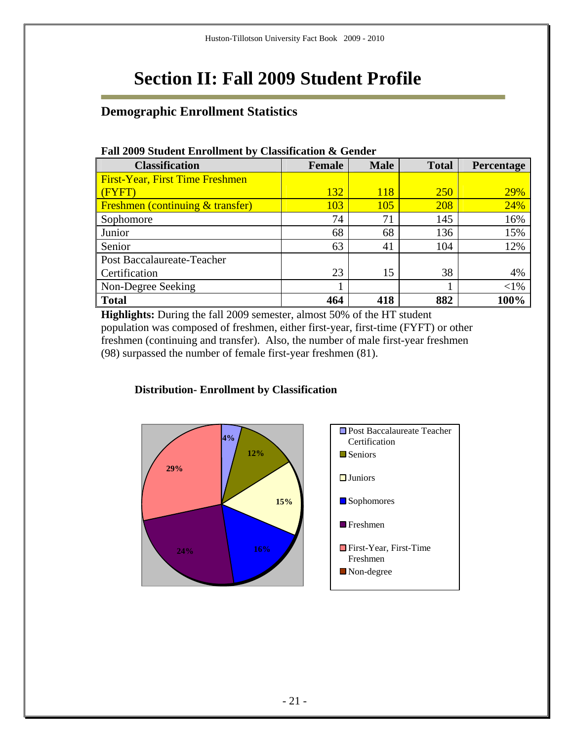# **Section II: Fall 2009 Student Profile**

### **Demographic Enrollment Statistics**

| <b>Classification</b>                  | Female | <b>Male</b> | <b>Total</b> | <b>Percentage</b> |
|----------------------------------------|--------|-------------|--------------|-------------------|
| <b>First-Year, First Time Freshmen</b> |        |             |              |                   |
| (FYFT)                                 | 132    | 118         | <b>250</b>   | 29%               |
| Freshmen (continuing & transfer)       | 103    | 105         | 208          | 24%               |
| Sophomore                              | 74     | 71          | 145          | 16%               |
| Junior                                 | 68     | 68          | 136          | 15%               |
| Senior                                 | 63     | 41          | 104          | 12%               |
| Post Baccalaureate-Teacher             |        |             |              |                   |
| Certification                          | 23     | 15          | 38           | 4%                |
| Non-Degree Seeking                     |        |             |              | $<$ 1%            |
| <b>Total</b>                           | 464    | 418         | 882          | 100%              |

#### **Fall 2009 Student Enrollment by Classification & Gender**

**Highlights:** During the fall 2009 semester, almost 50% of the HT student population was composed of freshmen, either first-year, first-time (FYFT) or other freshmen (continuing and transfer). Also, the number of male first-year freshmen (98) surpassed the number of female first-year freshmen (81).



#### **Distribution- Enrollment by Classification**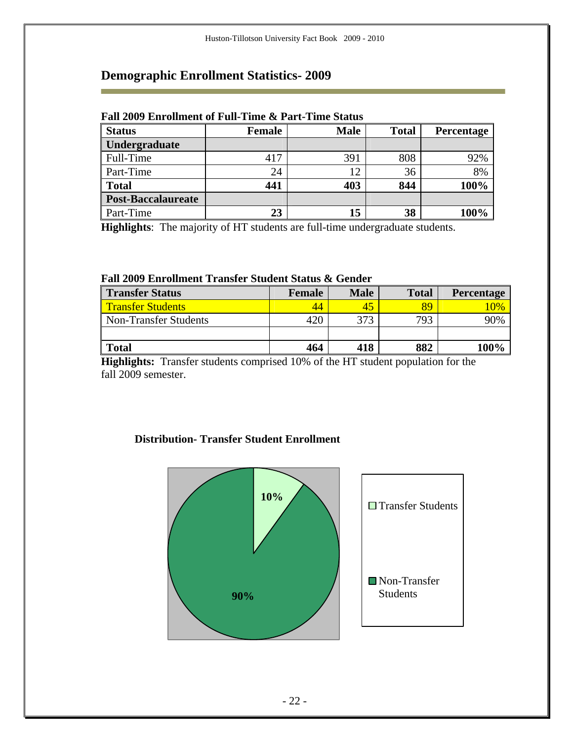r.

| <b>Status</b>             | <b>Female</b> | <b>Male</b> | <b>Total</b> | <b>Percentage</b> |
|---------------------------|---------------|-------------|--------------|-------------------|
| Undergraduate             |               |             |              |                   |
| Full-Time                 | 417           | 391         | 808          | 92%               |
| Part-Time                 | 24            | 12          | 36           | 8%                |
| <b>Total</b>              | 441           | 403         | 844          | 100%              |
| <b>Post-Baccalaureate</b> |               |             |              |                   |
| Part-Time                 | 23            | 15          | 38           | 100%              |

#### **Fall 2009 Enrollment of Full-Time & Part-Time Status**

**Highlights**: The majority of HT students are full-time undergraduate students.

#### **Fall 2009 Enrollment Transfer Student Status & Gender**

| <b>Transfer Status</b>       | Female | <b>Male</b> | <b>Total</b> | <b>Percentage</b> |
|------------------------------|--------|-------------|--------------|-------------------|
| <b>Transfer Students</b>     | 44     |             | 89           | $10\%$            |
| <b>Non-Transfer Students</b> | 420    | 373         | 793          | 90%               |
|                              |        |             |              |                   |
| <b>Total</b>                 | 464    | 418         | 882          | 100%              |

**Highlights:** Transfer students comprised 10% of the HT student population for the fall 2009 semester.

#### **Distribution- Transfer Student Enrollment**

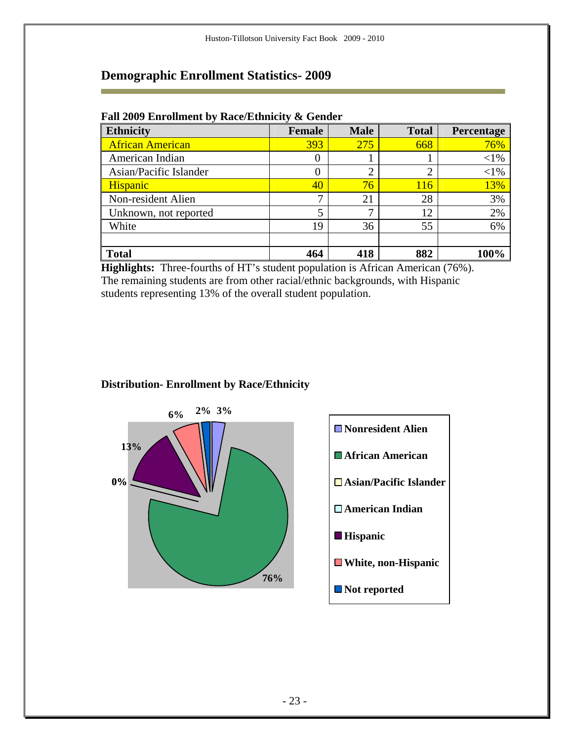| <b>Ethnicity</b>        | Female | <b>Male</b> | <b>Total</b>   | Percentage |
|-------------------------|--------|-------------|----------------|------------|
| <b>African American</b> | 393    | 275         | 668            | 76%        |
| American Indian         | 0      |             |                | $<$ 1%     |
| Asian/Pacific Islander  | 0      | ⌒           | $\overline{2}$ | ${<}1\%$   |
| <b>Hispanic</b>         | 40     | 76          | 116            | 13%        |
| Non-resident Alien      | ⇁      | 21          | 28             | 3%         |
| Unknown, not reported   | 5      | ⇁           | 12             | 2%         |
| White                   | 19     | 36          | 55             | 6%         |
|                         |        |             |                |            |
| <b>Total</b>            | 464    | 418         | 882            | 100%       |

#### **Fall 2009 Enrollment by Race/Ethnicity & Gender**

**Highlights:** Three-fourths of HT's student population is African American (76%). The remaining students are from other racial/ethnic backgrounds, with Hispanic students representing 13% of the overall student population.



#### **Distribution- Enrollment by Race/Ethnicity**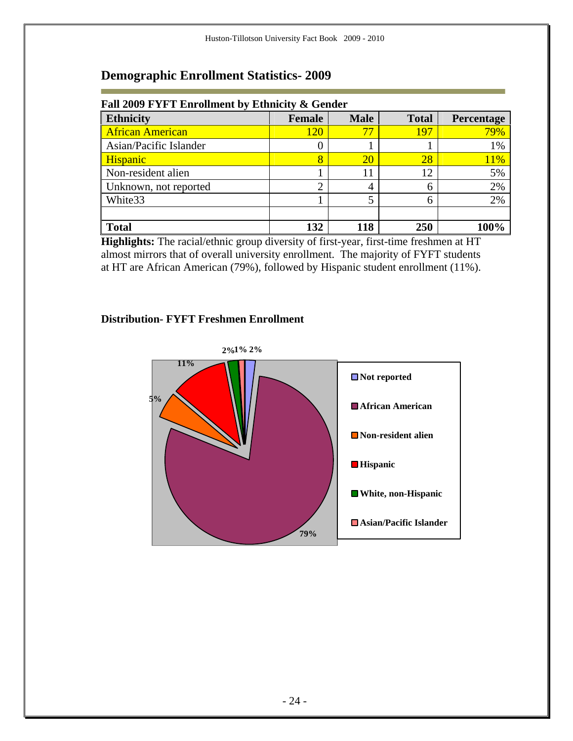| Fall 2009 FYFT Enrollment by Ethnicity & Gender |                |             |              |            |
|-------------------------------------------------|----------------|-------------|--------------|------------|
| <b>Ethnicity</b>                                | Female         | <b>Male</b> | <b>Total</b> | Percentage |
| <b>African American</b>                         | 120            | 77          | 197          | 79%        |
| Asian/Pacific Islander                          | U              |             |              | 1%         |
| <b>Hispanic</b>                                 | 8              | <b>20</b>   | 28           | 11%        |
| Non-resident alien                              |                | 11          | 12           | 5%         |
| Unknown, not reported                           | $\overline{2}$ |             | 6            | 2%         |
| White <sub>33</sub>                             |                |             | 6            | 2%         |
|                                                 |                |             |              |            |
| <b>Total</b>                                    | 132            | 118         | 250          | 100%       |

r.

**Highlights:** The racial/ethnic group diversity of first-year, first-time freshmen at HT almost mirrors that of overall university enrollment. The majority of FYFT students at HT are African American (79%), followed by Hispanic student enrollment (11%).

#### **Distribution- FYFT Freshmen Enrollment**

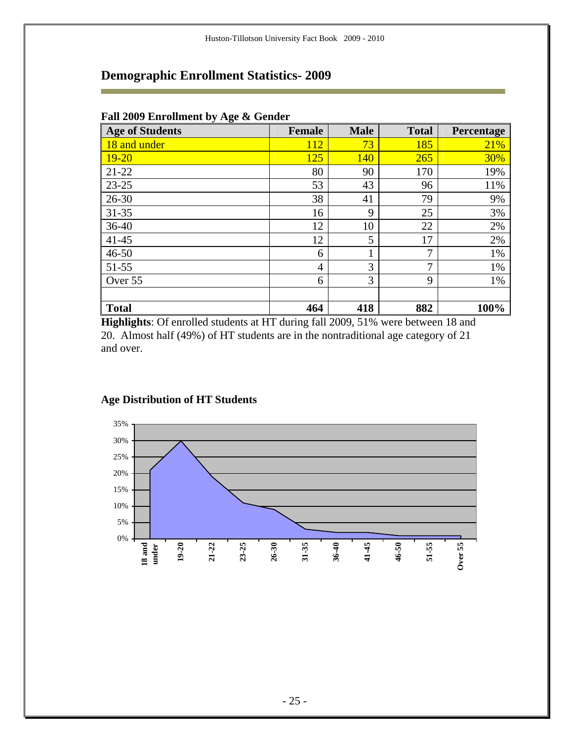| <b>Age of Students</b> | <b>Female</b>  | <b>Male</b> | <b>Total</b> | Percentage |
|------------------------|----------------|-------------|--------------|------------|
| 18 and under           | 112            | 73          | 185          | 21%        |
| $19 - 20$              | 125            | 140         | 265          | 30%        |
| $21 - 22$              | 80             | 90          | 170          | 19%        |
| $23 - 25$              | 53             | 43          | 96           | 11%        |
| $26 - 30$              | 38             | 41          | 79           | 9%         |
| $31 - 35$              | 16             | 9           | 25           | 3%         |
| $36 - 40$              | 12             | 10          | 22           | 2%         |
| $41 - 45$              | 12             | 5           | 17           | 2%         |
| $46 - 50$              | 6              |             | 7            | 1%         |
| 51-55                  | $\overline{4}$ | 3           | 7            | 1%         |
| Over 55                | 6              | 3           | 9            | 1%         |
|                        |                |             |              |            |
| <b>Total</b>           | 464            | 418         | 882          | 100%       |

#### **Fall 2009 Enrollment by Age & Gender**

r.

**Highlights**: Of enrolled students at HT during fall 2009, 51% were between 18 and 20. Almost half (49%) of HT students are in the nontraditional age category of 21 and over.



#### **Age Distribution of HT Students**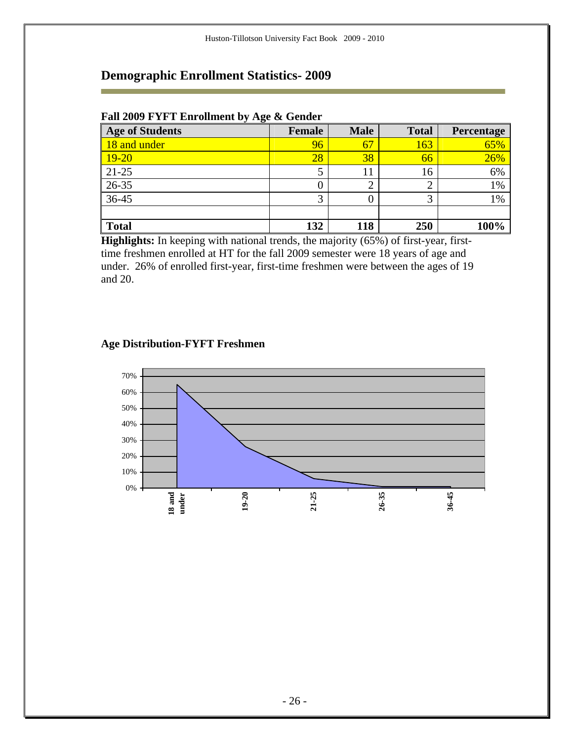#### **Fall 2009 FYFT Enrollment by Age & Gender**

| <b>Age of Students</b> | <b>Female</b> | <b>Male</b> | <b>Total</b> | Percentage |
|------------------------|---------------|-------------|--------------|------------|
| 18 and under           | 96            | 67          | 163          | 65%        |
| $19 - 20$              | 28            | 38          | 66           | 26%        |
| $21-25$                | 5             |             | 16           | 6%         |
| $26 - 35$              | 0             |             | ⌒            | 1%         |
| $36-45$                | 3             |             | э            | 1%         |
|                        |               |             |              |            |
| <b>Total</b>           | 132           | 118         | 250          | 100%       |

**Highlights:** In keeping with national trends, the majority (65%) of first-year, firsttime freshmen enrolled at HT for the fall 2009 semester were 18 years of age and under. 26% of enrolled first-year, first-time freshmen were between the ages of 19 and 20.

#### **Age Distribution-FYFT Freshmen**

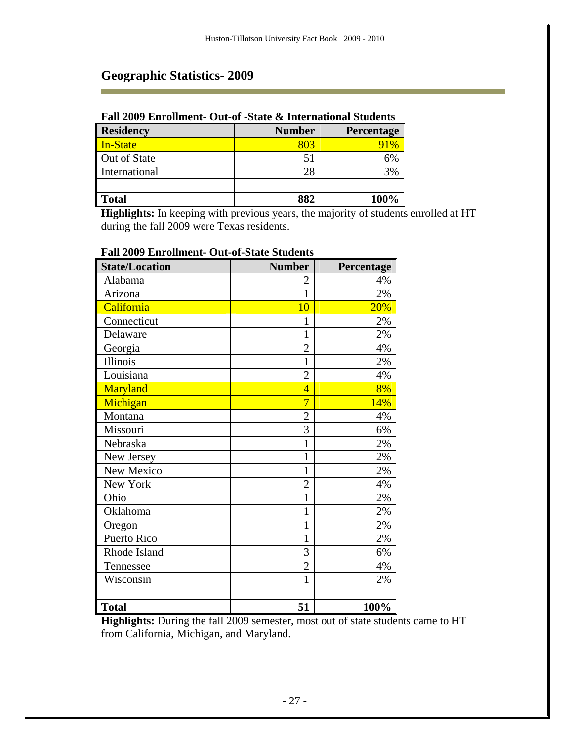r.

#### **Fall 2009 Enrollment- Out-of -State & International Students**

| <b>Residency</b> | <b>Number</b> | <b>Percentage</b> |
|------------------|---------------|-------------------|
| In-State         | 803           | 91%               |
| Out of State     |               | 6%                |
| International    | 28            | 3%                |
|                  |               |                   |
| <b>Total</b>     | 882           | 100%              |

**Highlights:** In keeping with previous years, the majority of students enrolled at HT during the fall 2009 were Texas residents.

| <b>State/Location</b> | <b>Number</b>  | Percentage |
|-----------------------|----------------|------------|
| Alabama               | $\overline{2}$ | 4%         |
| Arizona               | $\mathbf{1}$   | 2%         |
| California            | 10             | 20%        |
| Connecticut           | 1              | 2%         |
| Delaware              | 1              | 2%         |
| Georgia               | $\overline{2}$ | 4%         |
| Illinois              | $\mathbf{1}$   | 2%         |
| Louisiana             | $\overline{2}$ | 4%         |
| Maryland              | $\overline{4}$ | 8%         |
| Michigan              | $\overline{7}$ | 14%        |
| Montana               | $\overline{c}$ | 4%         |
| Missouri              | 3              | 6%         |
| Nebraska              | $\mathbf{1}$   | 2%         |
| New Jersey            | 1              | 2%         |
| New Mexico            | 1              | 2%         |
| New York              | $\overline{2}$ | 4%         |
| Ohio                  | $\mathbf 1$    | 2%         |
| Oklahoma              | $\mathbf{1}$   | 2%         |
| Oregon                | 1              | 2%         |
| Puerto Rico           | $\mathbf{1}$   | 2%         |
| Rhode Island          | 3              | 6%         |
| Tennessee             | $\overline{2}$ | 4%         |
| Wisconsin             | $\mathbf{1}$   | 2%         |
|                       |                |            |
| <b>Total</b>          | 51             | 100%       |

### **Fall 2009 Enrollment- Out-of-State Students**

**Highlights:** During the fall 2009 semester, most out of state students came to HT from California, Michigan, and Maryland.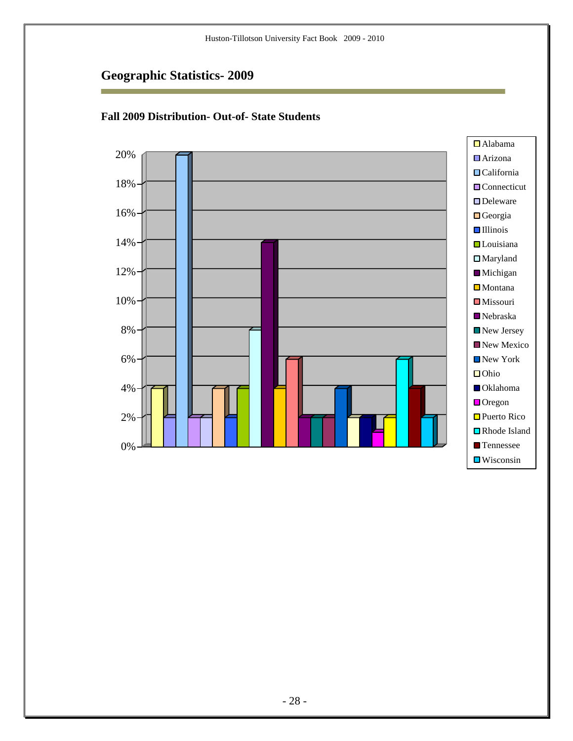i.



#### **Fall 2009 Distribution- Out-of- State Students**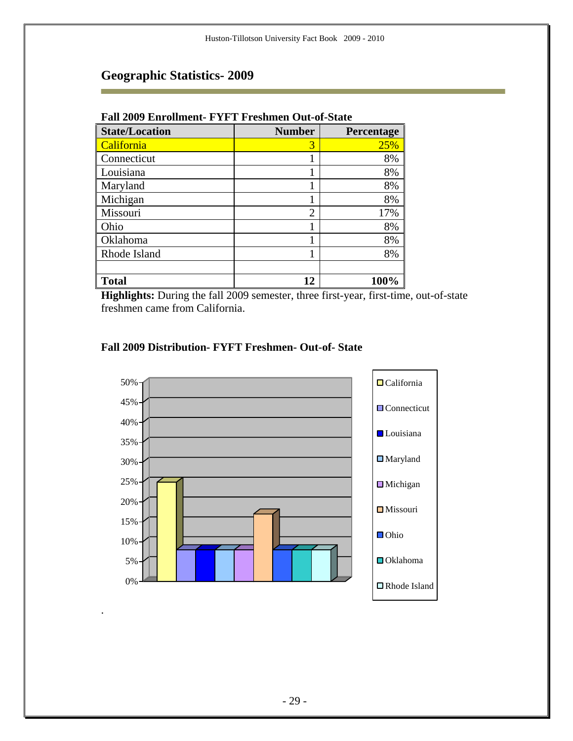r.

| т ан 2007 гля оншене<br>T TTC SHINGH OUT OF DUANC |                |            |  |
|---------------------------------------------------|----------------|------------|--|
| <b>State/Location</b>                             | <b>Number</b>  | Percentage |  |
| California                                        | 3              | 25%        |  |
| Connecticut                                       |                | 8%         |  |
| Louisiana                                         |                | 8%         |  |
| Maryland                                          |                | 8%         |  |
| Michigan                                          | 1              | 8%         |  |
| Missouri                                          | $\overline{2}$ | 17%        |  |
| Ohio                                              | 1              | 8%         |  |
| Oklahoma                                          | 1              | 8%         |  |
| Rhode Island                                      | 1              | 8%         |  |
|                                                   |                |            |  |
| <b>Total</b>                                      | 12             | 100%       |  |

#### **Fall 2009 Enrollment- FYFT Freshmen Out-of-State**

**Highlights:** During the fall 2009 semester, three first-year, first-time, out-of-state freshmen came from California.

#### **Fall 2009 Distribution- FYFT Freshmen- Out-of- State**

.

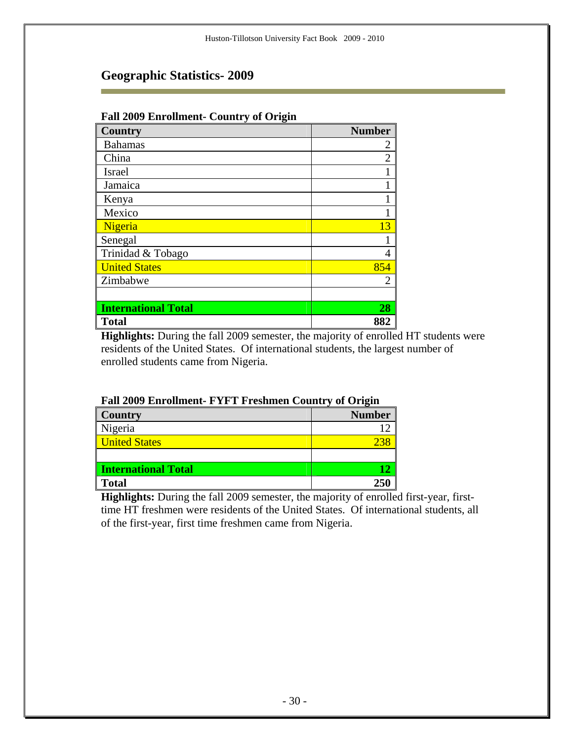| r an 2007 Ein omnem - Country or Origin |                |  |  |
|-----------------------------------------|----------------|--|--|
| Country                                 | <b>Number</b>  |  |  |
| <b>Bahamas</b>                          | 2              |  |  |
| China                                   | $\overline{2}$ |  |  |
| Israel                                  |                |  |  |
| Jamaica                                 |                |  |  |
| Kenya                                   |                |  |  |
| Mexico                                  |                |  |  |
| Nigeria                                 | 13             |  |  |
| Senegal                                 |                |  |  |
| Trinidad & Tobago                       | 4              |  |  |
| <b>United States</b>                    | 854            |  |  |
| Zimbabwe                                | 2              |  |  |
|                                         |                |  |  |
| <b>International Total</b>              | 28             |  |  |
| <b>Total</b>                            | 882            |  |  |

#### **Fall 2009 Enrollment- Country of Origin**

**Highlights:** During the fall 2009 semester, the majority of enrolled HT students were residents of the United States. Of international students, the largest number of enrolled students came from Nigeria.

| <b>Country</b>             | <b>Number</b> |
|----------------------------|---------------|
| Nigeria                    |               |
| <b>United States</b>       |               |
|                            |               |
| <b>International Total</b> |               |
| <b>Total</b>               | 250           |

#### **Fall 2009 Enrollment- FYFT Freshmen Country of Origin**

**Highlights:** During the fall 2009 semester, the majority of enrolled first-year, firsttime HT freshmen were residents of the United States. Of international students, all of the first-year, first time freshmen came from Nigeria.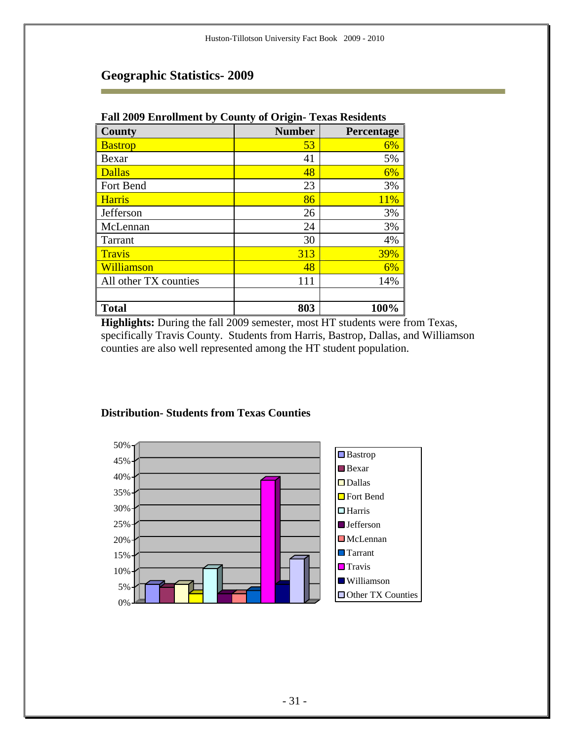| $\mathbf{v}$ $\mathbf{v}$ $\mathbf{v}$ $\mathbf{v}$ |               |            |
|-----------------------------------------------------|---------------|------------|
| County                                              | <b>Number</b> | Percentage |
| <b>Bastrop</b>                                      | 53            | 6%         |
| Bexar                                               | 41            | 5%         |
| <b>Dallas</b>                                       | 48            | 6%         |
| Fort Bend                                           | 23            | 3%         |
| <b>Harris</b>                                       | 86            | 11%        |
| Jefferson                                           | 26            | 3%         |
| McLennan                                            | 24            | 3%         |
| Tarrant                                             | 30            | 4%         |
| <b>Travis</b>                                       | 313           | 39%        |
| Williamson                                          | 48            | 6%         |
| All other TX counties                               | 111           | 14%        |
|                                                     |               |            |
| <b>Total</b>                                        | 803           | 100%       |

#### **Fall 2009 Enrollment by County of Origin- Texas Residents**

**Highlights:** During the fall 2009 semester, most HT students were from Texas, specifically Travis County. Students from Harris, Bastrop, Dallas, and Williamson counties are also well represented among the HT student population.



#### **Distribution- Students from Texas Counties**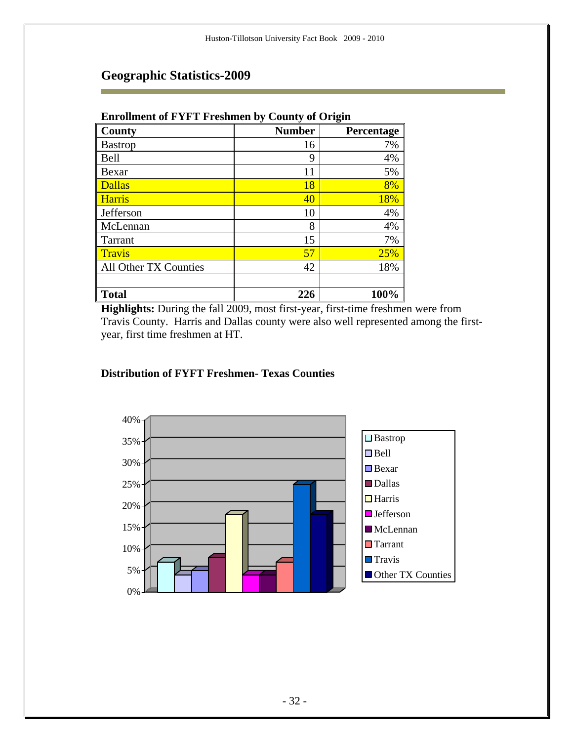| <b>Enrollment of FYFT Freshmen by County of Origin</b> |               |            |  |
|--------------------------------------------------------|---------------|------------|--|
| County                                                 | <b>Number</b> | Percentage |  |
| <b>Bastrop</b>                                         | 16            | 7%         |  |
| <b>Bell</b>                                            | 9             | 4%         |  |
| Bexar                                                  | 11            | 5%         |  |
| <b>Dallas</b>                                          | 18            | 8%         |  |
| <b>Harris</b>                                          | 40            | 18%        |  |
| Jefferson                                              | 10            | 4%         |  |
| McLennan                                               | 8             | 4%         |  |
| <b>Tarrant</b>                                         | 15            | 7%         |  |

Travis  $\overline{57}$   $\overline{25\%}$ All Other TX Counties  $42 \mid 18\%$ 

**Total 226 100%**

### **Geographic Statistics-2009**

**Highlights:** During the fall 2009, most first-year, first-time freshmen were from Travis County. Harris and Dallas county were also well represented among the firstyear, first time freshmen at HT.

#### **Distribution of FYFT Freshmen- Texas Counties**

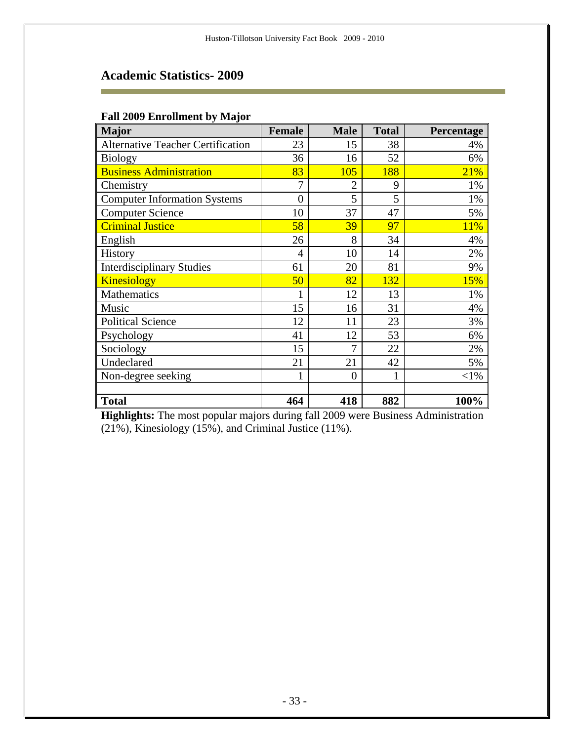÷

| <b>Major</b>                             | <b>Female</b>  | <b>Male</b> | <b>Total</b> | Percentage |
|------------------------------------------|----------------|-------------|--------------|------------|
| <b>Alternative Teacher Certification</b> | 23             | 15          | 38           | 4%         |
| <b>Biology</b>                           | 36             | 16          | 52           | 6%         |
| <b>Business Administration</b>           | 83             | 105         | 188          | 21%        |
| Chemistry                                | 7              | 2           | 9            | 1%         |
| <b>Computer Information Systems</b>      | $\overline{0}$ | 5           | 5            | 1%         |
| <b>Computer Science</b>                  | 10             | 37          | 47           | 5%         |
| <b>Criminal Justice</b>                  | 58             | 39          | 97           | 11%        |
| English                                  | 26             | 8           | 34           | 4%         |
| History                                  | 4              | 10          | 14           | 2%         |
| <b>Interdisciplinary Studies</b>         | 61             | 20          | 81           | 9%         |
| <b>Kinesiology</b>                       | 50             | 82          | 132          | 15%        |
| <b>Mathematics</b>                       |                | 12          | 13           | 1%         |
| Music                                    | 15             | 16          | 31           | 4%         |
| <b>Political Science</b>                 | 12             | 11          | 23           | 3%         |
| Psychology                               | 41             | 12          | 53           | 6%         |
| Sociology                                | 15             | 7           | 22           | 2%         |
| Undeclared                               | 21             | 21          | 42           | 5%         |
| Non-degree seeking                       |                | $\theta$    |              | $<$ 1%     |
|                                          |                |             |              |            |
| <b>Total</b>                             | 464            | 418         | 882          | 100%       |

**Highlights:** The most popular majors during fall 2009 were Business Administration (21%), Kinesiology (15%), and Criminal Justice (11%).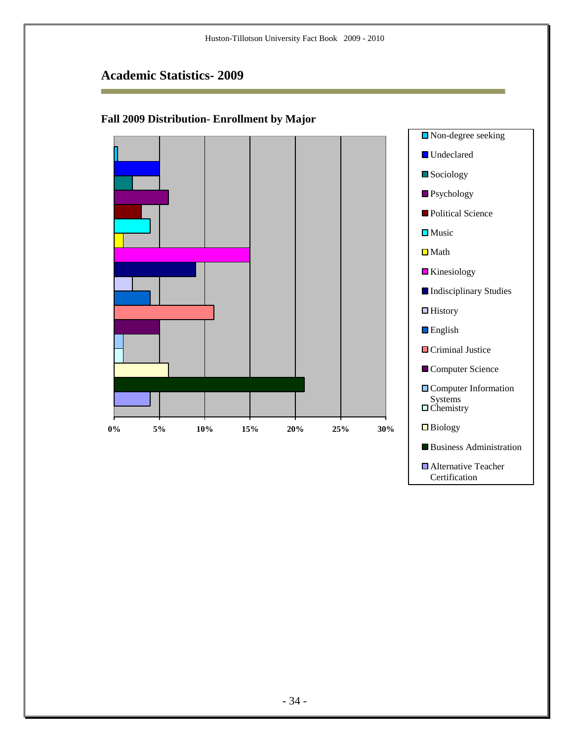Ē.

### **Fall 2009 Distribution- Enrollment by Major**



■ Alternative Teacher **Certification**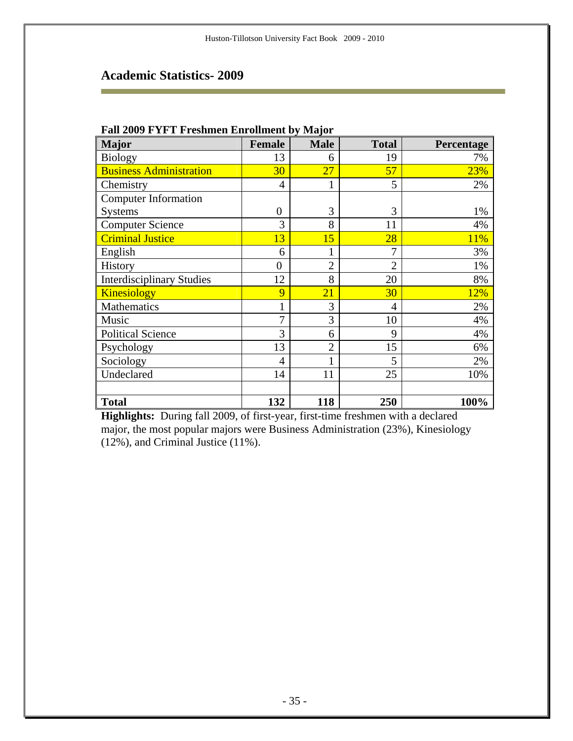÷

| <b>Major</b>                     | <b>Female</b>  | <b>Male</b>    | <b>Total</b>   | Percentage |
|----------------------------------|----------------|----------------|----------------|------------|
| <b>Biology</b>                   | 13             | 6              | 19             | 7%         |
| <b>Business Administration</b>   | 30             | 27             | 57             | 23%        |
| Chemistry                        | $\overline{4}$ |                | 5              | 2%         |
| <b>Computer Information</b>      |                |                |                |            |
| <b>Systems</b>                   | $\overline{0}$ | 3              | 3              | 1%         |
| <b>Computer Science</b>          | 3              | 8              | 11             | 4%         |
| <b>Criminal Justice</b>          | 13             | 15             | 28             | 11%        |
| English                          | 6              |                | 7              | 3%         |
| <b>History</b>                   | $\overline{0}$ | $\overline{2}$ | $\overline{2}$ | 1%         |
| <b>Interdisciplinary Studies</b> | 12             | 8              | 20             | 8%         |
| <b>Kinesiology</b>               | 9              | 21             | 30             | 12%        |
| Mathematics                      | 1              | 3              | 4              | 2%         |
| Music                            | $\overline{7}$ | 3              | 10             | 4%         |
| <b>Political Science</b>         | 3              | 6              | 9              | 4%         |
| Psychology                       | 13             | $\overline{2}$ | 15             | 6%         |
| Sociology                        | $\overline{4}$ |                | 5              | 2%         |
| Undeclared                       | 14             | 11             | 25             | 10%        |
|                                  |                |                |                |            |
| <b>Total</b>                     | 132            | 118            | 250            | 100%       |

#### **Fall 2009 FYFT Freshmen Enrollment by Major**

**Highlights:** During fall 2009, of first-year, first-time freshmen with a declared major, the most popular majors were Business Administration (23%), Kinesiology (12%), and Criminal Justice (11%).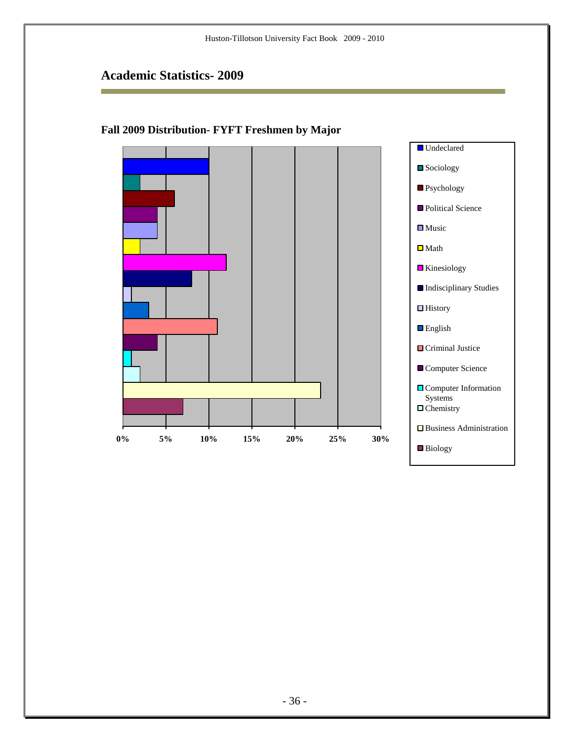Ē.

### **Fall 2009 Distribution- FYFT Freshmen by Major**

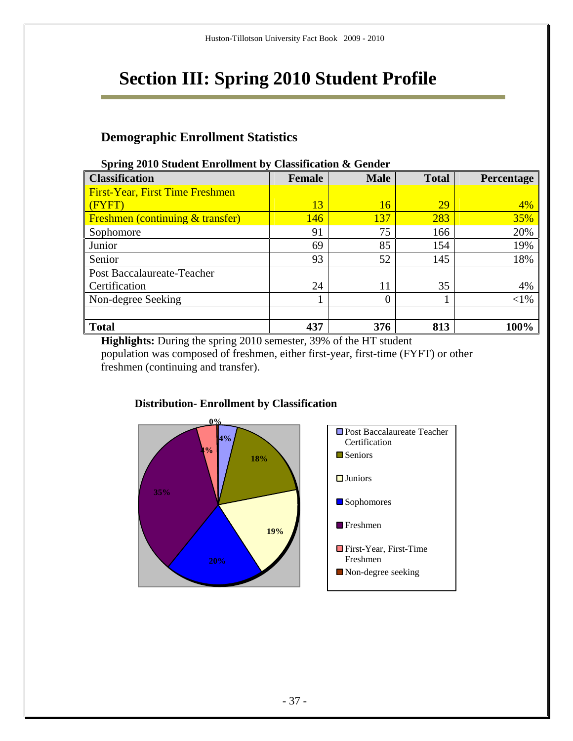# **Section III: Spring 2010 Student Profile**

### **Demographic Enrollment Statistics**

| opring 2010 ottacht Ein omnem by Classification & Ochaci |               |             |              |                   |
|----------------------------------------------------------|---------------|-------------|--------------|-------------------|
| <b>Classification</b>                                    | <b>Female</b> | <b>Male</b> | <b>Total</b> | <b>Percentage</b> |
| <b>First-Year, First Time Freshmen</b>                   |               |             |              |                   |
| (FYFT)                                                   | 13            | 16          | <u>29</u>    | 4%                |
| <b>Freshmen</b> (continuing & transfer)                  | 146           | 137         | 283          | 35%               |
| Sophomore                                                | 91            | 75          | 166          | 20%               |
| Junior                                                   | 69            | 85          | 154          | 19%               |
| Senior                                                   | 93            | 52          | 145          | 18%               |
| Post Baccalaureate-Teacher                               |               |             |              |                   |
| Certification                                            | 24            | 11          | 35           | 4%                |
| Non-degree Seeking                                       |               | 0           |              | $<$ 1%            |
|                                                          |               |             |              |                   |
| <b>Total</b>                                             | 437           | 376         | 813          | 100%              |

#### **Spring 2010 Student Enrollment by Classification & Gender**

**Highlights:** During the spring 2010 semester, 39% of the HT student population was composed of freshmen, either first-year, first-time (FYFT) or other freshmen (continuing and transfer).



### **Distribution- Enrollment by Classification**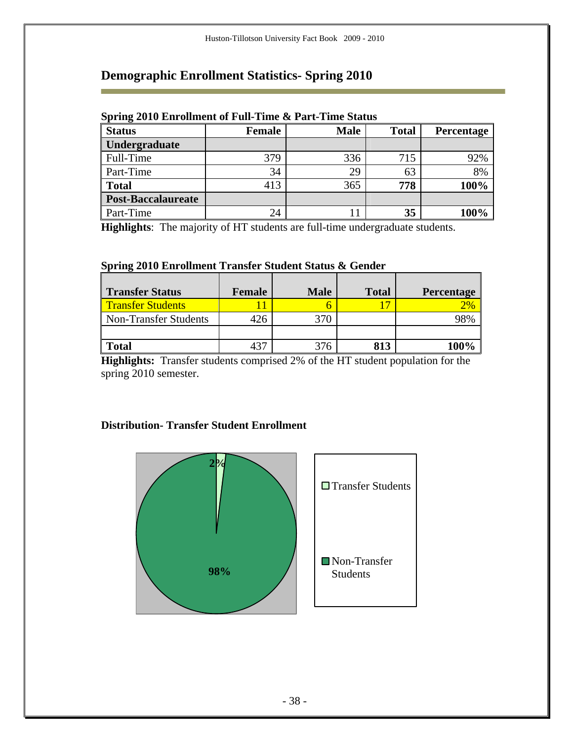# **Demographic Enrollment Statistics- Spring 2010**

m.

| opring solo Embinium of Fun Time withit Time butub |        |             |              |                   |
|----------------------------------------------------|--------|-------------|--------------|-------------------|
| <b>Status</b>                                      | Female | <b>Male</b> | <b>Total</b> | <b>Percentage</b> |
| Undergraduate                                      |        |             |              |                   |
| Full-Time                                          | 379    | 336         | 715          | 92%               |
| Part-Time                                          | 34     | 29          | 63           | 8%                |
| <b>Total</b>                                       | 413    | 365         | 778          | 100%              |
| <b>Post-Baccalaureate</b>                          |        |             |              |                   |
| Part-Time                                          | 24     |             | 35           | 100%              |

#### **Spring 2010 Enrollment of Full-Time & Part-Time Status**

**Highlights**: The majority of HT students are full-time undergraduate students.

#### **Spring 2010 Enrollment Transfer Student Status & Gender**

| <b>Transfer Status</b>   | Female | <b>Male</b> | <b>Total</b> | Percentage   |
|--------------------------|--------|-------------|--------------|--------------|
| <b>Transfer Students</b> |        |             | $\sigma$     | $\sqrt{2\%}$ |
| Non-Transfer Students    | 26     | 370         |              | 18%          |
|                          |        |             |              |              |
| <b>Total</b>             |        | 276         | 813          |              |

**Highlights:** Transfer students comprised 2% of the HT student population for the spring 2010 semester.

#### **Distribution- Transfer Student Enrollment**

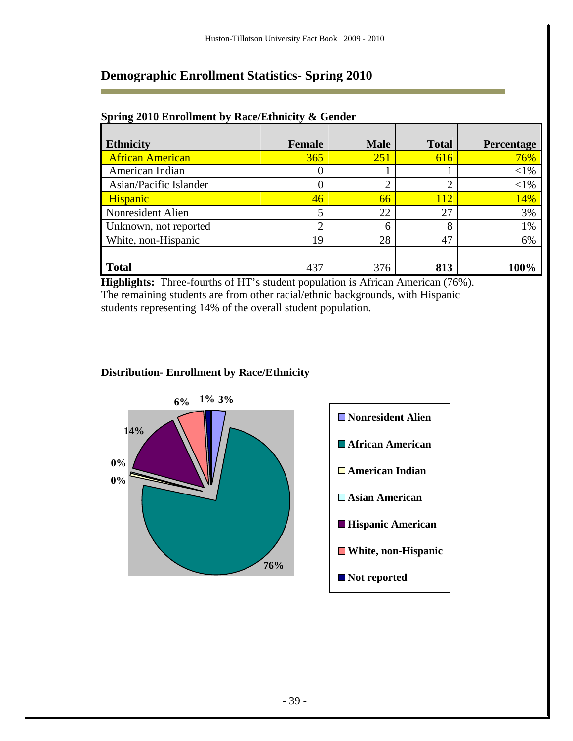### **Demographic Enrollment Statistics- Spring 2010**

| <b>Ethnicity</b>        | <b>Female</b> | <b>Male</b>    | <b>Total</b> | Percentage |
|-------------------------|---------------|----------------|--------------|------------|
| <b>African American</b> | 365           | 251            | 616          | 76%        |
| American Indian         |               |                |              | $<$ 1%     |
| Asian/Pacific Islander  |               | $\overline{2}$ | ◠            | $<$ 1%     |
| Hispanic                | 46            | 66             | 112          | 14%        |
| Nonresident Alien       |               | 22             | 27           | 3%         |
| Unknown, not reported   | ↑             | 6              | 8            | 1%         |
| White, non-Hispanic     | 19            | 28             | 47           | 6%         |
|                         |               |                |              |            |
| <b>Total</b>            | 437           | 376            | 813          | 100%       |

#### **Spring 2010 Enrollment by Race/Ethnicity & Gender**

m.

**Highlights:** Three-fourths of HT's student population is African American (76%). The remaining students are from other racial/ethnic backgrounds, with Hispanic students representing 14% of the overall student population.



### **Distribution- Enrollment by Race/Ethnicity**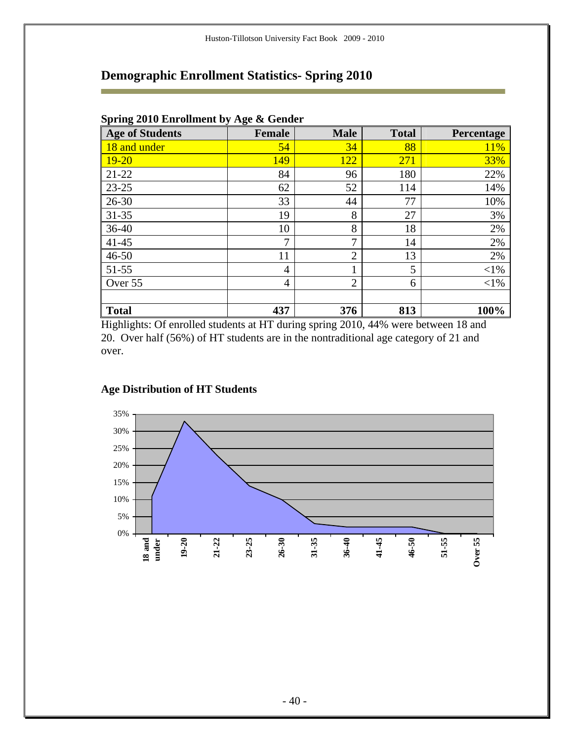# **Demographic Enrollment Statistics- Spring 2010**

| <b>Age of Students</b> | <b>Female</b>  | <b>Male</b>    | <b>Total</b> | Percentage |
|------------------------|----------------|----------------|--------------|------------|
| 18 and under           | 54             | 34             | 88           | <b>11%</b> |
| $19 - 20$              | 149            | 122            | 271          | 33%        |
| $21 - 22$              | 84             | 96             | 180          | 22%        |
| 23-25                  | 62             | 52             | 114          | 14%        |
| $26 - 30$              | 33             | 44             | 77           | 10%        |
| $31 - 35$              | 19             | 8              | 27           | 3%         |
| $36 - 40$              | 10             | 8              | 18           | 2%         |
| $41 - 45$              | 7              | 7              | 14           | 2%         |
| $46 - 50$              | 11             | $\overline{2}$ | 13           | 2%         |
| $51 - 55$              | $\overline{4}$ | 1              | 5            | $<$ 1%     |
| Over 55                | $\overline{4}$ | $\overline{2}$ | 6            | $<$ 1%     |
|                        |                |                |              |            |
| <b>Total</b>           | 437            | 376            | 813          | 100%       |

### **Spring 2010 Enrollment by Age & Gender**

r

Highlights: Of enrolled students at HT during spring 2010, 44% were between 18 and 20. Over half (56%) of HT students are in the nontraditional age category of 21 and over.

### **Age Distribution of HT Students**

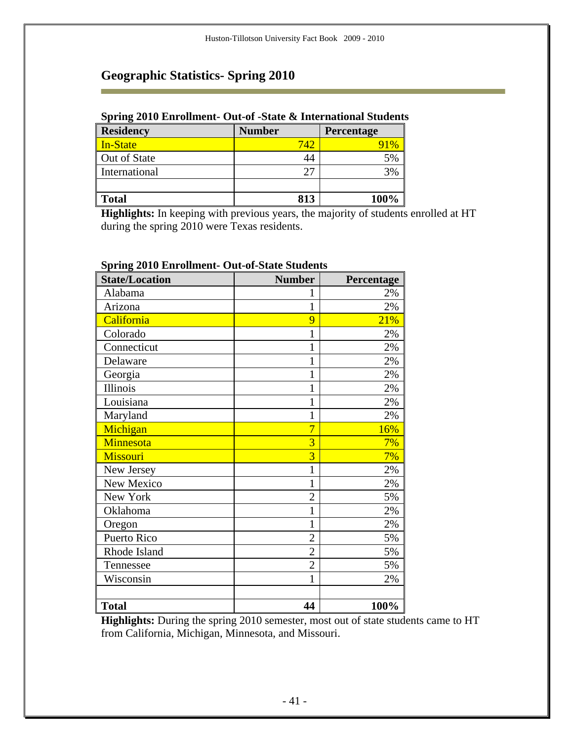### **Spring 2010 Enrollment- Out-of -State & International Students**

| <b>Residency</b> | <b>Number</b> | <b>Percentage</b> |
|------------------|---------------|-------------------|
| In-State         | 742           |                   |
| Out of State     | 44            | 5%                |
| International    | רר            | 3%                |
|                  |               |                   |
| <b>Total</b>     | 813           | 100%              |

**Highlights:** In keeping with previous years, the majority of students enrolled at HT during the spring 2010 were Texas residents.

| <b>State/Location</b> | <b>Number</b>  | Percentage |
|-----------------------|----------------|------------|
| Alabama               | 1              | 2%         |
| Arizona               | $\mathbf{1}$   | 2%         |
| California            | 9              | 21%        |
| Colorado              | $\mathbf{1}$   | 2%         |
| Connecticut           | 1              | 2%         |
| Delaware              | 1              | 2%         |
| Georgia               | $\mathbf 1$    | 2%         |
| Illinois              | 1              | 2%         |
| Louisiana             | 1              | 2%         |
| Maryland              | $\mathbf 1$    | 2%         |
| Michigan              | 7              | 16%        |
| Minnesota             | $\overline{3}$ | 7%         |
| Missouri              | $\overline{3}$ | 7%         |
| New Jersey            | $\mathbf 1$    | 2%         |
| New Mexico            | $\mathbf 1$    | 2%         |
| New York              | $\overline{2}$ | 5%         |
| Oklahoma              | $\mathbf 1$    | 2%         |
| Oregon                | 1              | 2%         |
| Puerto Rico           | $\overline{2}$ | 5%         |
| Rhode Island          | $\overline{2}$ | 5%         |
| Tennessee             | $\overline{2}$ | 5%         |
| Wisconsin             | $\mathbf{1}$   | 2%         |
|                       |                |            |
| <b>Total</b>          | 44             | 100%       |

### **Spring 2010 Enrollment- Out-of-State Students**

**Highlights:** During the spring 2010 semester, most out of state students came to HT from California, Michigan, Minnesota, and Missouri.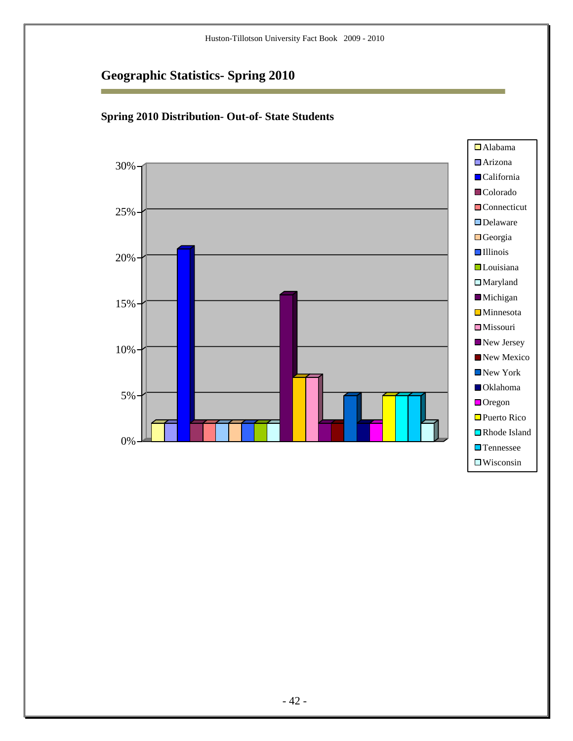Ē.



### **Spring 2010 Distribution- Out-of- State Students**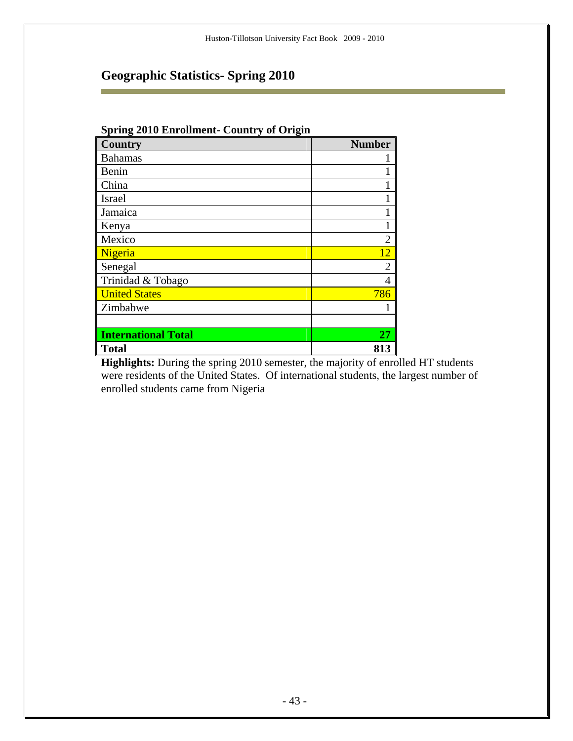Ē.

| <b>Spring 2010 Enrollment- Country of Origin</b> |                |  |  |
|--------------------------------------------------|----------------|--|--|
| <b>Country</b>                                   | <b>Number</b>  |  |  |
| <b>Bahamas</b>                                   |                |  |  |
| Benin                                            |                |  |  |
| China                                            |                |  |  |
| <b>Israel</b>                                    |                |  |  |
| Jamaica                                          |                |  |  |
| Kenya                                            |                |  |  |
| Mexico                                           | $\mathfrak{D}$ |  |  |
| Nigeria                                          | 12             |  |  |
| Senegal                                          | 2              |  |  |
| Trinidad & Tobago                                | 4              |  |  |
| <b>United States</b>                             | 786            |  |  |
| Zimbabwe                                         |                |  |  |
|                                                  |                |  |  |
| <b>International Total</b>                       | 27             |  |  |
| <b>Total</b>                                     | 813            |  |  |

**Highlights:** During the spring 2010 semester, the majority of enrolled HT students were residents of the United States. Of international students, the largest number of enrolled students came from Nigeria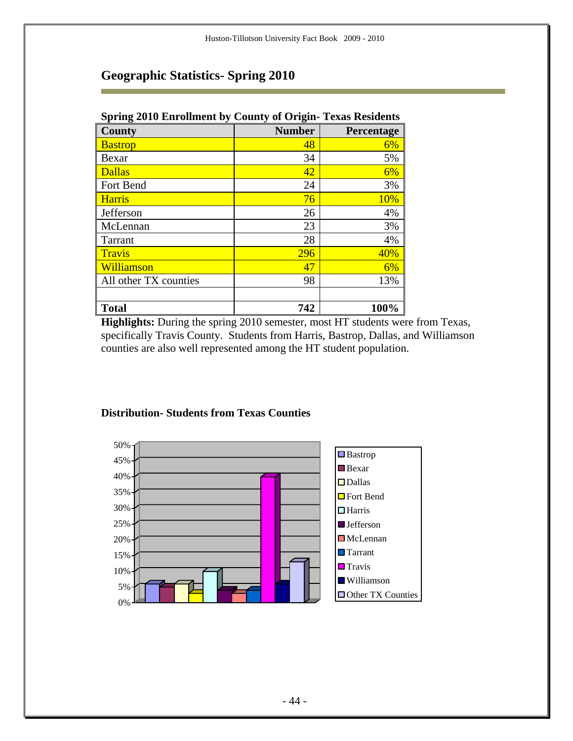| Spring 2010 Enrollment by County of Origin-Texas Residents |               |                   |  |  |
|------------------------------------------------------------|---------------|-------------------|--|--|
| County                                                     | <b>Number</b> | <b>Percentage</b> |  |  |
| <b>Bastrop</b>                                             | 48            | 6%                |  |  |
| Bexar                                                      | 34            | 5%                |  |  |
| <b>Dallas</b>                                              | 42            | 6%                |  |  |
| Fort Bend                                                  | 24            | 3%                |  |  |
| <b>Harris</b>                                              | 76            | 10%               |  |  |
| Jefferson                                                  | 26            | 4%                |  |  |
| McLennan                                                   | 23            | 3%                |  |  |
| Tarrant                                                    | 28            | 4%                |  |  |
| <b>Travis</b>                                              | 296           | 40%               |  |  |
| Williamson                                                 | 47            | 6%                |  |  |
| All other TX counties                                      | 98            | 13%               |  |  |
|                                                            |               |                   |  |  |
| <b>Total</b>                                               | 742           | 100%              |  |  |

### **Spring 2010 Enrollment by County of Origin- Texas Residents**

**Highlights:** During the spring 2010 semester, most HT students were from Texas, specifically Travis County. Students from Harris, Bastrop, Dallas, and Williamson counties are also well represented among the HT student population.



#### **Distribution- Students from Texas Counties**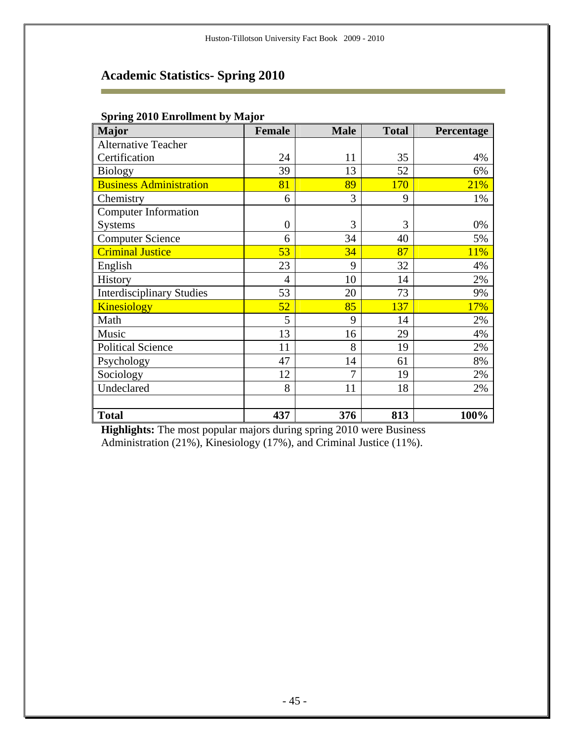# **Academic Statistics- Spring 2010**

| <b>Major</b>                     | <b>Female</b>    | <b>Male</b> | <b>Total</b> | Percentage |
|----------------------------------|------------------|-------------|--------------|------------|
| <b>Alternative Teacher</b>       |                  |             |              |            |
| Certification                    | 24               | 11          | 35           | 4%         |
| <b>Biology</b>                   | 39               | 13          | 52           | 6%         |
| <b>Business Administration</b>   | 81               | 89          | 170          | 21%        |
| Chemistry                        | 6                | 3           | 9            | 1%         |
| <b>Computer Information</b>      |                  |             |              |            |
| <b>Systems</b>                   | $\boldsymbol{0}$ | 3           | 3            | 0%         |
| <b>Computer Science</b>          | 6                | 34          | 40           | 5%         |
| <b>Criminal Justice</b>          | 53               | 34          | 87           | 11%        |
| English                          | 23               | 9           | 32           | 4%         |
| History                          | $\overline{4}$   | 10          | 14           | 2%         |
| <b>Interdisciplinary Studies</b> | 53               | 20          | 73           | 9%         |
| <b>Kinesiology</b>               | 52               | 85          | 137          | 17%        |
| Math                             | 5                | 9           | 14           | 2%         |
| Music                            | 13               | 16          | 29           | 4%         |
| <b>Political Science</b>         | 11               | 8           | 19           | 2%         |
| Psychology                       | 47               | 14          | 61           | 8%         |
| Sociology                        | 12               | 7           | 19           | 2%         |
| Undeclared                       | 8                | 11          | 18           | 2%         |
|                                  |                  |             |              |            |
| <b>Total</b>                     | 437              | 376         | 813          | 100%       |

#### **Spring 2010 Enrollment by Major**

Ē

**Highlights:** The most popular majors during spring 2010 were Business Administration (21%), Kinesiology (17%), and Criminal Justice (11%).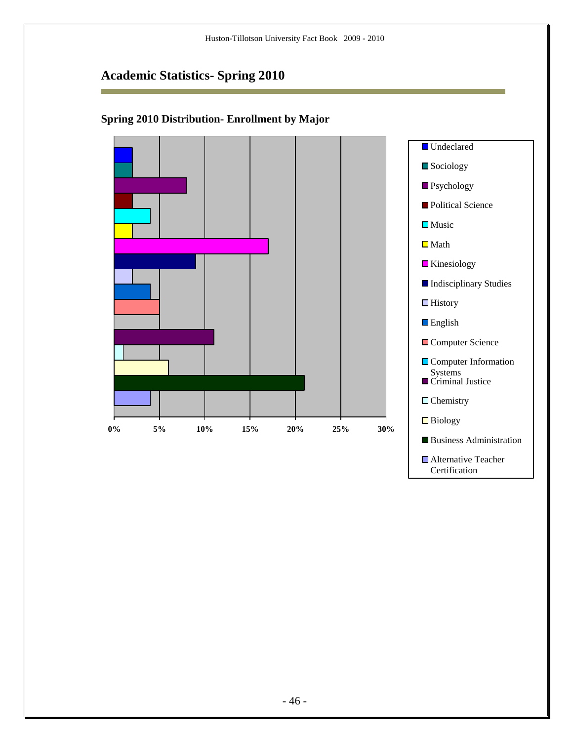# **Academic Statistics- Spring 2010**

r



■ Alternative Teacher Certification

### **Spring 2010 Distribution- Enrollment by Major**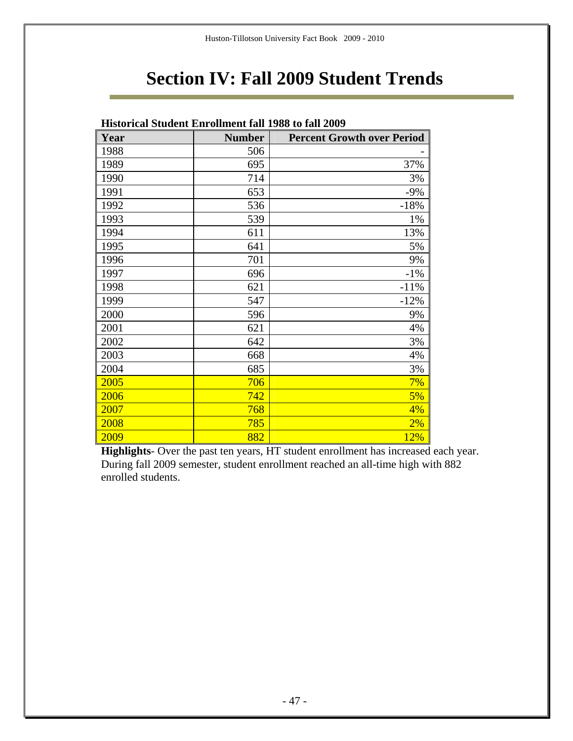# **Section IV: Fall 2009 Student Trends**

| <b>Historical Student Enrollment fall 1988 to fall 2009</b> |               |                                   |  |  |  |  |  |  |  |  |
|-------------------------------------------------------------|---------------|-----------------------------------|--|--|--|--|--|--|--|--|
| Year                                                        | <b>Number</b> | <b>Percent Growth over Period</b> |  |  |  |  |  |  |  |  |
| 1988                                                        | 506           |                                   |  |  |  |  |  |  |  |  |
| 1989                                                        | 695           | 37%                               |  |  |  |  |  |  |  |  |
| 1990                                                        | 714           | 3%                                |  |  |  |  |  |  |  |  |
| 1991                                                        | 653           | $-9%$                             |  |  |  |  |  |  |  |  |
| 1992                                                        | 536           | $-18%$                            |  |  |  |  |  |  |  |  |
| 1993                                                        | 539           | 1%                                |  |  |  |  |  |  |  |  |
| 1994                                                        | 611           | 13%                               |  |  |  |  |  |  |  |  |
| 1995                                                        | 641           | 5%                                |  |  |  |  |  |  |  |  |
| 1996                                                        | 701           | 9%                                |  |  |  |  |  |  |  |  |
| 1997                                                        | 696           | $-1\%$                            |  |  |  |  |  |  |  |  |
| 1998                                                        | 621           | $-11%$                            |  |  |  |  |  |  |  |  |
| 1999                                                        | 547           | $-12%$                            |  |  |  |  |  |  |  |  |
| 2000                                                        | 596           | 9%                                |  |  |  |  |  |  |  |  |
| 2001                                                        | 621           | 4%                                |  |  |  |  |  |  |  |  |
| 2002                                                        | 642           | 3%                                |  |  |  |  |  |  |  |  |
| 2003                                                        | 668           | 4%                                |  |  |  |  |  |  |  |  |
| 2004                                                        | 685           | 3%                                |  |  |  |  |  |  |  |  |
| 2005                                                        | 706           | 7%                                |  |  |  |  |  |  |  |  |
| 2006                                                        | 742           | 5%                                |  |  |  |  |  |  |  |  |
| 2007                                                        | 768           | 4%                                |  |  |  |  |  |  |  |  |
| 2008                                                        | 785           | 2%                                |  |  |  |  |  |  |  |  |
| 2009                                                        | 882           | 12%                               |  |  |  |  |  |  |  |  |

**Highlights**- Over the past ten years, HT student enrollment has increased each year. During fall 2009 semester, student enrollment reached an all-time high with 882 enrolled students.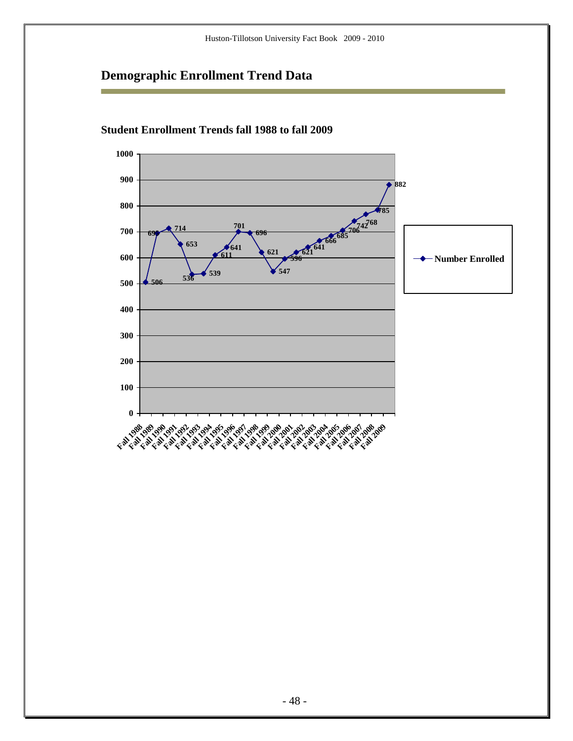

### **Student Enrollment Trends fall 1988 to fall 2009**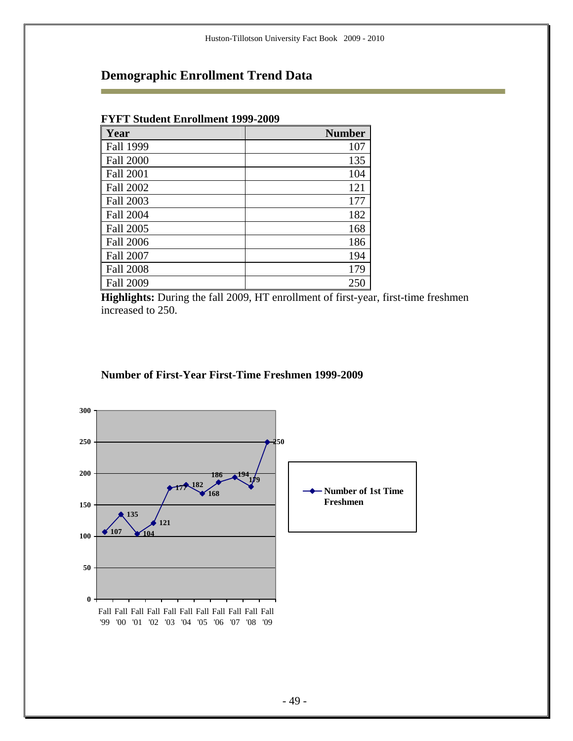#### **FYFT Student Enrollment 1999-2009**

۰

| Year             | <b>Number</b> |
|------------------|---------------|
| Fall 1999        | 107           |
| <b>Fall 2000</b> | 135           |
| <b>Fall 2001</b> | 104           |
| Fall 2002        | 121           |
| Fall 2003        | 177           |
| <b>Fall 2004</b> | 182           |
| Fall 2005        | 168           |
| <b>Fall 2006</b> | 186           |
| <b>Fall 2007</b> | 194           |
| <b>Fall 2008</b> | 179           |
| <b>Fall 2009</b> | 250           |

**Highlights:** During the fall 2009, HT enrollment of first-year, first-time freshmen increased to 250.

#### **Number of First-Year First-Time Freshmen 1999-2009**

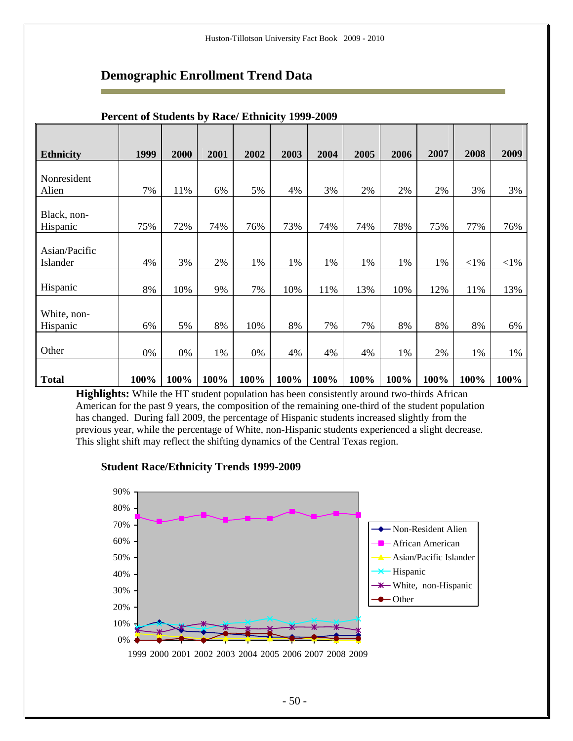| <b>Ethnicity</b>          | 1999 | 2000 | 2001 | 2002 | 2003 | 2004 | 2005 | 2006 | 2007 | 2008   | 2009   |
|---------------------------|------|------|------|------|------|------|------|------|------|--------|--------|
| Nonresident               |      |      |      |      |      |      |      |      |      |        |        |
| Alien                     | 7%   | 11%  | 6%   | 5%   | 4%   | 3%   | 2%   | 2%   | 2%   | 3%     | 3%     |
| Black, non-<br>Hispanic   | 75%  | 72%  | 74%  | 76%  | 73%  | 74%  | 74%  | 78%  | 75%  | 77%    | 76%    |
| Asian/Pacific<br>Islander | 4%   | 3%   | 2%   | 1%   | 1%   | 1%   | 1%   | 1%   | 1%   | $<$ 1% | $<$ 1% |
| Hispanic                  | 8%   | 10%  | 9%   | 7%   | 10%  | 11%  | 13%  | 10%  | 12%  | 11%    | 13%    |
| White, non-<br>Hispanic   | 6%   | 5%   | 8%   | 10%  | 8%   | 7%   | 7%   | 8%   | 8%   | 8%     | 6%     |
| Other                     | 0%   | 0%   | 1%   | 0%   | 4%   | 4%   | 4%   | 1%   | 2%   | 1%     | 1%     |
| <b>Total</b>              | 100% | 100% | 100% | 100% | 100% | 100% | 100% | 100% | 100% | 100%   | 100%   |

#### **Percent of Students by Race/ Ethnicity 1999-2009**

**Highlights:** While the HT student population has been consistently around two-thirds African American for the past 9 years, the composition of the remaining one-third of the student population has changed. During fall 2009, the percentage of Hispanic students increased slightly from the previous year, while the percentage of White, non-Hispanic students experienced a slight decrease. This slight shift may reflect the shifting dynamics of the Central Texas region.



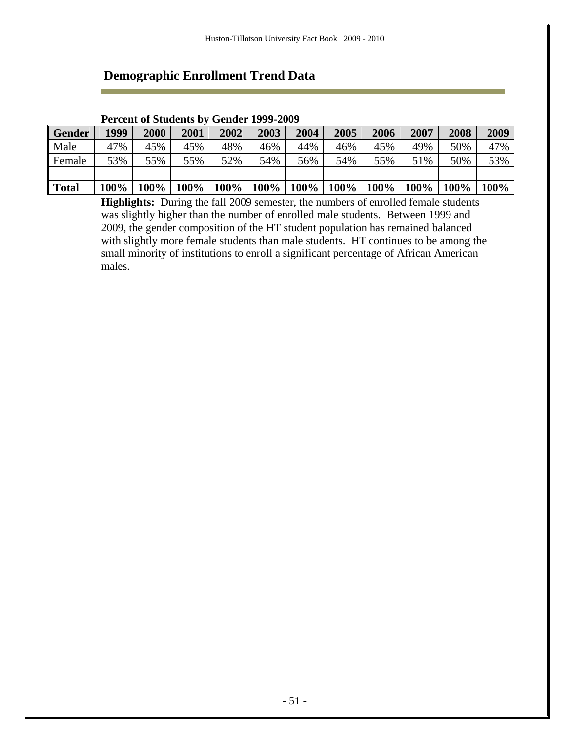### **Percent of Students by Gender 1999-2009**

| Gender | 1999 | 2000                                                                                                                                                                                                                      | 2001 | 2002 | 2003 | 2004 | 2005 | 2006 | 2007 | 2008 | 2009 |
|--------|------|---------------------------------------------------------------------------------------------------------------------------------------------------------------------------------------------------------------------------|------|------|------|------|------|------|------|------|------|
| Male   | 47%  | 45%                                                                                                                                                                                                                       | 45%  | 48%  | 46%  | 44%  | 46%  | 45%  | 49%  | 50%  | 47%  |
| Female | 53%  | 55%                                                                                                                                                                                                                       | 55%  | 52%  | 54%  | 56%  | 54%  | 55%  | 51%  | 50%  | 53%  |
|        |      |                                                                                                                                                                                                                           |      |      |      |      |      |      |      |      |      |
| Total  |      | $100\%$   $100\%$   $100\%$   $100\%$   $100\%$   $100\%$   $100\%$   $100\%$   $100\%$   $100\%$   $100\%$   $100\%$   $100\%$   $100\%$   $100\%$   $100\%$   $100\%$   $100\%$   $100\%$   $100\%$   $100\%$   $100\%$ |      |      |      |      |      |      |      |      |      |

**Highlights:** During the fall 2009 semester, the numbers of enrolled female students was slightly higher than the number of enrolled male students. Between 1999 and 2009, the gender composition of the HT student population has remained balanced with slightly more female students than male students. HT continues to be among the small minority of institutions to enroll a significant percentage of African American males.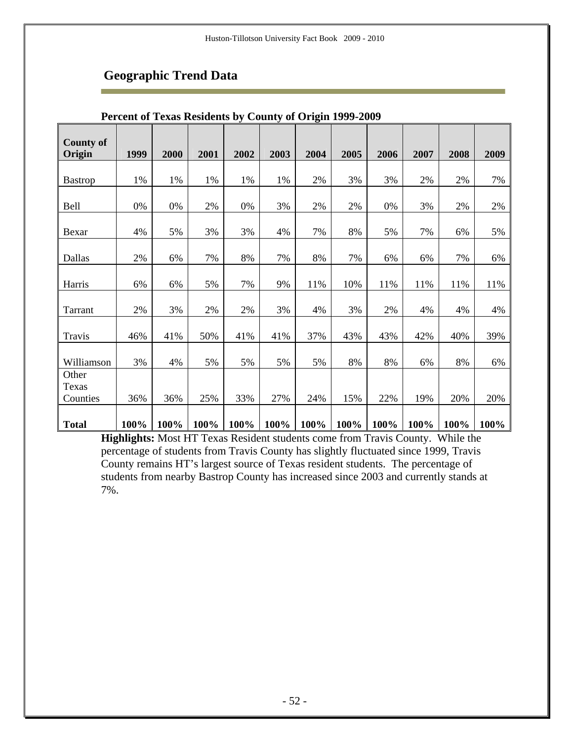| <b>County of</b><br>Origin | 1999 | 2000 | 2001 | 2002 | 2003 | 2004 | 2005 | 2006 | 2007 | 2008 | 2009 |
|----------------------------|------|------|------|------|------|------|------|------|------|------|------|
|                            |      |      |      |      |      |      |      |      |      |      |      |
| <b>Bastrop</b>             | 1%   | 1%   | 1%   | 1%   | 1%   | 2%   | 3%   | 3%   | 2%   | 2%   | 7%   |
| <b>Bell</b>                | 0%   | 0%   | 2%   | 0%   | 3%   | 2%   | 2%   | 0%   | 3%   | 2%   | 2%   |
| Bexar                      | 4%   | 5%   | 3%   | 3%   | 4%   | 7%   | 8%   | 5%   | 7%   | 6%   | 5%   |
| Dallas                     | 2%   | 6%   | 7%   | 8%   | 7%   | 8%   | 7%   | 6%   | 6%   | 7%   | 6%   |
| Harris                     | 6%   | 6%   | 5%   | 7%   | 9%   | 11%  | 10%  | 11%  | 11%  | 11%  | 11%  |
| Tarrant                    | 2%   | 3%   | 2%   | 2%   | 3%   | 4%   | 3%   | 2%   | 4%   | 4%   | 4%   |
| Travis                     | 46%  | 41%  | 50%  | 41%  | 41%  | 37%  | 43%  | 43%  | 42%  | 40%  | 39%  |
| Williamson                 | 3%   | 4%   | 5%   | 5%   | 5%   | 5%   | 8%   | 8%   | 6%   | 8%   | 6%   |
| Other<br>Texas             |      |      |      |      |      |      |      |      |      |      |      |
| Counties                   | 36%  | 36%  | 25%  | 33%  | 27%  | 24%  | 15%  | 22%  | 19%  | 20%  | 20%  |
| <b>Total</b>               | 100% | 100% | 100% | 100% | 100% | 100% | 100% | 100% | 100% | 100% | 100% |

#### **Percent of Texas Residents by County of Origin 1999-2009**

**Highlights:** Most HT Texas Resident students come from Travis County. While the percentage of students from Travis County has slightly fluctuated since 1999, Travis County remains HT's largest source of Texas resident students. The percentage of students from nearby Bastrop County has increased since 2003 and currently stands at 7%.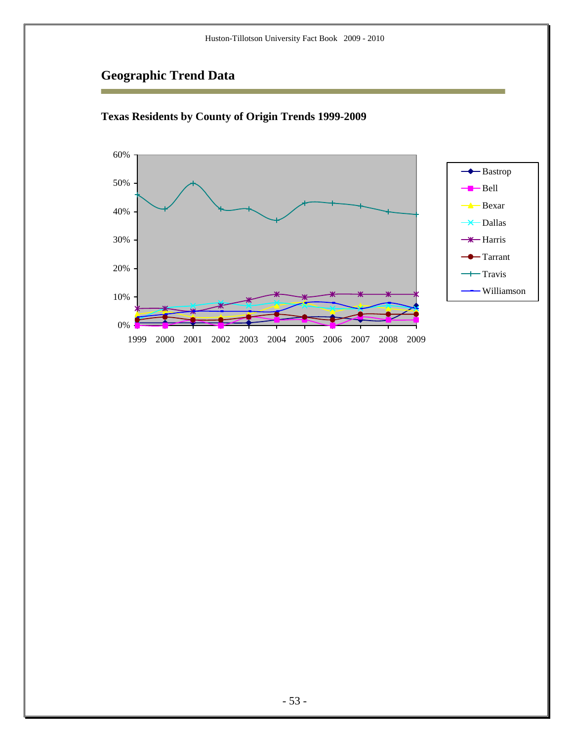r



**Texas Residents by County of Origin Trends 1999-2009**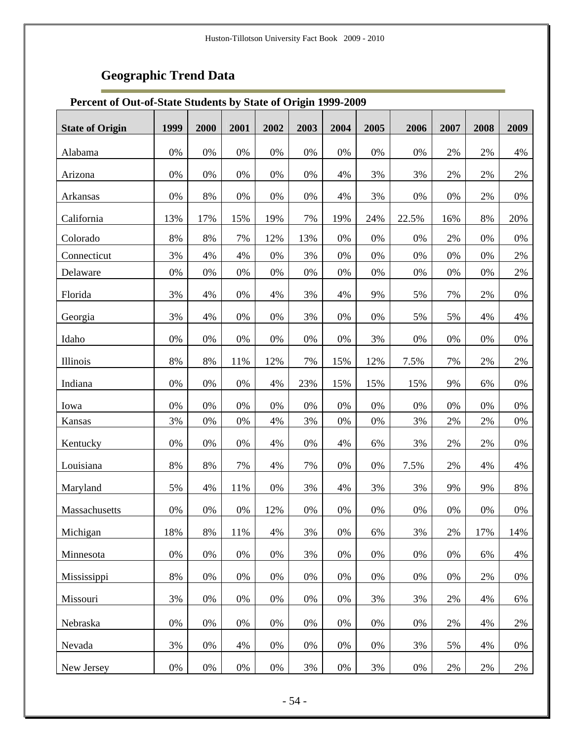÷

### **Percent of Out-of-State Students by State of Origin 1999-2009**

| <b>State of Origin</b> | 1999  | 2000  | 2001  | 2002 | 2003  | 2004  | 2005  | 2006  | 2007  | 2008  | 2009  |
|------------------------|-------|-------|-------|------|-------|-------|-------|-------|-------|-------|-------|
| Alabama                | 0%    | 0%    | $0\%$ | 0%   | $0\%$ | $0\%$ | $0\%$ | $0\%$ | 2%    | 2%    | 4%    |
|                        |       |       |       |      |       |       |       |       |       |       |       |
| Arizona                | 0%    | 0%    | $0\%$ | 0%   | $0\%$ | 4%    | 3%    | 3%    | 2%    | 2%    | $2\%$ |
| Arkansas               | 0%    | 8%    | $0\%$ | 0%   | $0\%$ | 4%    | 3%    | $0\%$ | 0%    | 2%    | $0\%$ |
| California             | 13%   | 17%   | 15%   | 19%  | 7%    | 19%   | 24%   | 22.5% | 16%   | $8\%$ | 20%   |
| Colorado               | 8%    | 8%    | 7%    | 12%  | 13%   | 0%    | 0%    | 0%    | 2%    | 0%    | $0\%$ |
| Connecticut            | 3%    | 4%    | 4%    | 0%   | 3%    | 0%    | 0%    | 0%    | 0%    | 0%    | 2%    |
| Delaware               | 0%    | 0%    | $0\%$ | 0%   | 0%    | 0%    | 0%    | 0%    | 0%    | 0%    | $2\%$ |
| Florida                | 3%    | 4%    | 0%    | 4%   | 3%    | 4%    | 9%    | 5%    | 7%    | 2%    | $0\%$ |
| Georgia                | 3%    | 4%    | 0%    | 0%   | 3%    | 0%    | 0%    | 5%    | 5%    | 4%    | 4%    |
| Idaho                  | 0%    | 0%    | $0\%$ | 0%   | 0%    | 0%    | 3%    | 0%    | 0%    | 0%    | $0\%$ |
| Illinois               | 8%    | 8%    | 11%   | 12%  | 7%    | 15%   | 12%   | 7.5%  | 7%    | 2%    | $2\%$ |
| Indiana                | 0%    | 0%    | 0%    | 4%   | 23%   | 15%   | 15%   | 15%   | 9%    | 6%    | $0\%$ |
| Iowa                   | 0%    | 0%    | 0%    | 0%   | 0%    | 0%    | 0%    | 0%    | 0%    | 0%    | $0\%$ |
| Kansas                 | 3%    | 0%    | $0\%$ | 4%   | 3%    | 0%    | $0\%$ | 3%    | 2%    | 2%    | $0\%$ |
| Kentucky               | 0%    | 0%    | $0\%$ | 4%   | $0\%$ | 4%    | 6%    | 3%    | $2\%$ | 2%    | $0\%$ |
| Louisiana              | $8\%$ | 8%    | 7%    | 4%   | 7%    | 0%    | 0%    | 7.5%  | $2\%$ | $4\%$ | 4%    |
| Maryland               | 5%    | 4%    | 11%   | 0%   | 3%    | 4%    | 3%    | 3%    | 9%    | 9%    | $8\%$ |
| Massachusetts          | 0%    | 0%    | 0%    | 12%  | 0%    | 0%    | 0%    | 0%    | 0%    | 0%    | $0\%$ |
| Michigan               | 18%   | 8%    | 11%   | 4%   | 3%    | 0%    | 6%    | 3%    | 2%    | 17%   | 14%   |
| Minnesota              | 0%    | 0%    | 0%    | 0%   | 3%    | 0%    | 0%    | 0%    | 0%    | 6%    | 4%    |
| Mississippi            | 8%    | 0%    | 0%    | 0%   | 0%    | 0%    | 0%    | 0%    | 0%    | 2%    | 0%    |
| Missouri               | 3%    | 0%    | 0%    | 0%   | 0%    | 0%    | 3%    | 3%    | 2%    | 4%    | 6%    |
| Nebraska               | 0%    | $0\%$ | $0\%$ | 0%   | 0%    | 0%    | 0%    | 0%    | 2%    | 4%    | 2%    |
| Nevada                 | 3%    | $0\%$ | 4%    | 0%   | 0%    | 0%    | 0%    | 3%    | 5%    | 4%    | 0%    |
| New Jersey             | $0\%$ | $0\%$ | $0\%$ | 0%   | 3%    | $0\%$ | 3%    | 0%    | $2\%$ | 2%    | 2%    |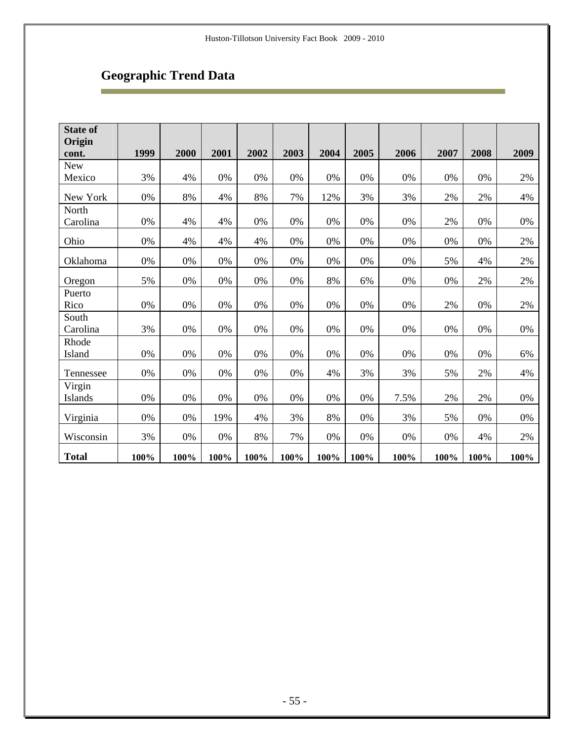Ē

| <b>State of</b><br>Origin |      |       |       |       |       |       |      |       |       |       |       |
|---------------------------|------|-------|-------|-------|-------|-------|------|-------|-------|-------|-------|
| cont.                     | 1999 | 2000  | 2001  | 2002  | 2003  | 2004  | 2005 | 2006  | 2007  | 2008  | 2009  |
| ${\hbox{New}}$            |      |       |       |       |       |       |      |       |       |       |       |
| Mexico                    | 3%   | 4%    | 0%    | 0%    | 0%    | 0%    | 0%   | 0%    | 0%    | 0%    | 2%    |
| New York                  | 0%   | 8%    | 4%    | $8\%$ | 7%    | 12%   | 3%   | 3%    | $2\%$ | 2%    | 4%    |
| North                     |      |       |       |       |       |       |      |       |       |       |       |
| Carolina                  | 0%   | 4%    | 4%    | $0\%$ | $0\%$ | 0%    | 0%   | $0\%$ | 2%    | 0%    | 0%    |
| Ohio                      | 0%   | 4%    | 4%    | 4%    | 0%    | 0%    | 0%   | 0%    | 0%    | 0%    | 2%    |
| Oklahoma                  | 0%   | 0%    | 0%    | 0%    | 0%    | 0%    | 0%   | 0%    | 5%    | 4%    | 2%    |
| Oregon                    | 5%   | $0\%$ | $0\%$ | $0\%$ | $0\%$ | 8%    | 6%   | 0%    | 0%    | 2%    | $2\%$ |
| Puerto                    |      |       |       |       |       |       |      |       |       |       |       |
| Rico                      | 0%   | 0%    | 0%    | 0%    | $0\%$ | 0%    | 0%   | 0%    | 2%    | 0%    | 2%    |
| South                     |      |       |       |       |       |       |      |       |       |       |       |
| Carolina                  | 3%   | $0\%$ | $0\%$ | 0%    | $0\%$ | $0\%$ | 0%   | 0%    | 0%    | 0%    | $0\%$ |
| Rhode                     |      |       |       |       |       |       |      |       |       |       |       |
| Island                    | 0%   | $0\%$ | 0%    | 0%    | $0\%$ | $0\%$ | 0%   | $0\%$ | $0\%$ | $0\%$ | 6%    |
| Tennessee                 | 0%   | $0\%$ | $0\%$ | $0\%$ | $0\%$ | 4%    | 3%   | 3%    | 5%    | 2%    | 4%    |
| Virgin                    |      |       |       |       |       |       |      |       |       |       |       |
| Islands                   | 0%   | 0%    | 0%    | 0%    | 0%    | 0%    | 0%   | 7.5%  | 2%    | 2%    | 0%    |
| Virginia                  | 0%   | 0%    | 19%   | 4%    | 3%    | 8%    | 0%   | 3%    | 5%    | 0%    | 0%    |
| Wisconsin                 | 3%   | $0\%$ | $0\%$ | $8\%$ | 7%    | $0\%$ | 0%   | $0\%$ | 0%    | 4%    | $2\%$ |
| <b>Total</b>              | 100% | 100%  | 100%  | 100%  | 100%  | 100%  | 100% | 100%  | 100%  | 100%  | 100%  |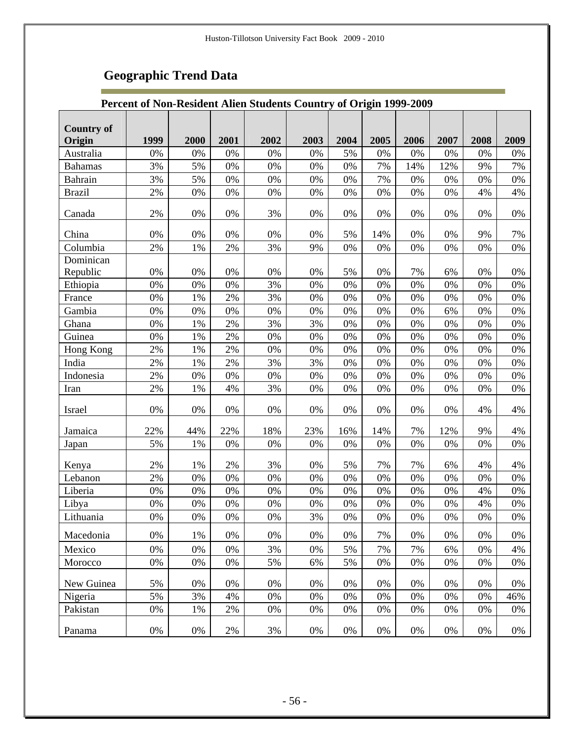г

### **Percent of Non-Resident Alien Students Country of Origin 1999-2009**

| <b>Country of</b> |       |       |       |       |       |       |       |       |       |       |       |
|-------------------|-------|-------|-------|-------|-------|-------|-------|-------|-------|-------|-------|
| Origin            | 1999  | 2000  | 2001  | 2002  | 2003  | 2004  | 2005  | 2006  | 2007  | 2008  | 2009  |
| Australia         | 0%    | 0%    | 0%    | 0%    | 0%    | 5%    | 0%    | 0%    | 0%    | 0%    | 0%    |
| <b>Bahamas</b>    | 3%    | 5%    | 0%    | 0%    | 0%    | 0%    | 7%    | 14%   | 12%   | 9%    | 7%    |
| Bahrain           | 3%    | 5%    | 0%    | 0%    | 0%    | 0%    | 7%    | 0%    | 0%    | 0%    | 0%    |
| <b>Brazil</b>     | 2%    | 0%    | 0%    | 0%    | 0%    | 0%    | 0%    | 0%    | 0%    | 4%    | 4%    |
| Canada            | 2%    | 0%    | 0%    | 3%    | 0%    | 0%    | $0\%$ | 0%    | 0%    | 0%    | 0%    |
| China             | 0%    | 0%    | 0%    | $0\%$ | 0%    | 5%    | 14%   | 0%    | 0%    | 9%    | 7%    |
| Columbia          | 2%    | 1%    | 2%    | $3\%$ | 9%    | 0%    | 0%    | 0%    | 0%    | 0%    | 0%    |
| Dominican         |       |       |       |       |       |       |       |       |       |       |       |
| Republic          | 0%    | 0%    | 0%    | 0%    | 0%    | 5%    | 0%    | 7%    | 6%    | 0%    | 0%    |
| Ethiopia          | 0%    | 0%    | 0%    | 3%    | 0%    | 0%    | 0%    | 0%    | 0%    | 0%    | 0%    |
| France            | 0%    | 1%    | 2%    | 3%    | 0%    | 0%    | 0%    | 0%    | 0%    | 0%    | 0%    |
| Gambia            | 0%    | 0%    | 0%    | 0%    | 0%    | 0%    | 0%    | 0%    | 6%    | 0%    | 0%    |
| Ghana             | 0%    | 1%    | 2%    | 3%    | 3%    | 0%    | 0%    | 0%    | 0%    | 0%    | 0%    |
| Guinea            | 0%    | 1%    | 2%    | 0%    | 0%    | 0%    | 0%    | 0%    | 0%    | 0%    | 0%    |
| Hong Kong         | 2%    | 1%    | 2%    | 0%    | 0%    | 0%    | 0%    | 0%    | 0%    | 0%    | 0%    |
| India             | 2%    | 1%    | 2%    | 3%    | 3%    | 0%    | 0%    | 0%    | 0%    | 0%    | 0%    |
| Indonesia         | 2%    | 0%    | $0\%$ | 0%    | 0%    | 0%    | 0%    | 0%    | 0%    | 0%    | 0%    |
| Iran              | 2%    | 1%    | 4%    | 3%    | 0%    | 0%    | 0%    | 0%    | 0%    | 0%    | 0%    |
| Israel            | 0%    | 0%    | 0%    | 0%    | 0%    | 0%    | 0%    | 0%    | 0%    | 4%    | 4%    |
| Jamaica           | 22%   | 44%   | 22%   | 18%   | 23%   | 16%   | 14%   | 7%    | 12%   | 9%    | 4%    |
| Japan             | 5%    | 1%    | 0%    | 0%    | 0%    | 0%    | 0%    | 0%    | 0%    | 0%    | 0%    |
| Kenya             | 2%    | 1%    | 2%    | 3%    | 0%    | 5%    | 7%    | 7%    | 6%    | 4%    | 4%    |
| Lebanon           | 2%    | 0%    | 0%    | 0%    | 0%    | 0%    | 0%    | 0%    | 0%    | 0%    | 0%    |
| Liberia           | $0\%$ | 0%    | 0%    | 0%    | 0%    | 0%    | 0%    | 0%    | 0%    | 4%    | $0\%$ |
| Libya             | 0%    | 0%    | 0%    | $0\%$ | 0%    | 0%    | 0%    | 0%    | 0%    | 4%    | $0\%$ |
| Lithuania         | 0%    | 0%    | 0%    | 0%    | 3%    | $0\%$ | 0%    | 0%    | 0%    | 0%    | 0%    |
| Macedonia         | $0\%$ | 1%    | 0%    | 0%    | $0\%$ | 0%    | 7%    | $0\%$ | 0%    | 0%    | 0%    |
| Mexico            | 0%    | 0%    | 0%    | 3%    | 0%    | 5%    | 7%    | 7%    | 6%    | 0%    | 4%    |
| Morocco           | 0%    | 0%    | $0\%$ | 5%    | 6%    | 5%    | 0%    | 0%    | 0%    | 0%    | 0%    |
| New Guinea        | 5%    | 0%    | 0%    | 0%    | 0%    | 0%    | 0%    | 0%    | 0%    | 0%    | 0%    |
| Nigeria           | 5%    | 3%    | 4%    | 0%    | 0%    | 0%    | $0\%$ | 0%    | 0%    | 0%    | 46%   |
| Pakistan          | 0%    | 1%    | 2%    | 0%    | 0%    | 0%    | 0%    | 0%    | 0%    | 0%    | 0%    |
| Panama            | 0%    | $0\%$ | $2\%$ | $3\%$ | 0%    | $0\%$ | $0\%$ | 0%    | $0\%$ | $0\%$ | 0%    |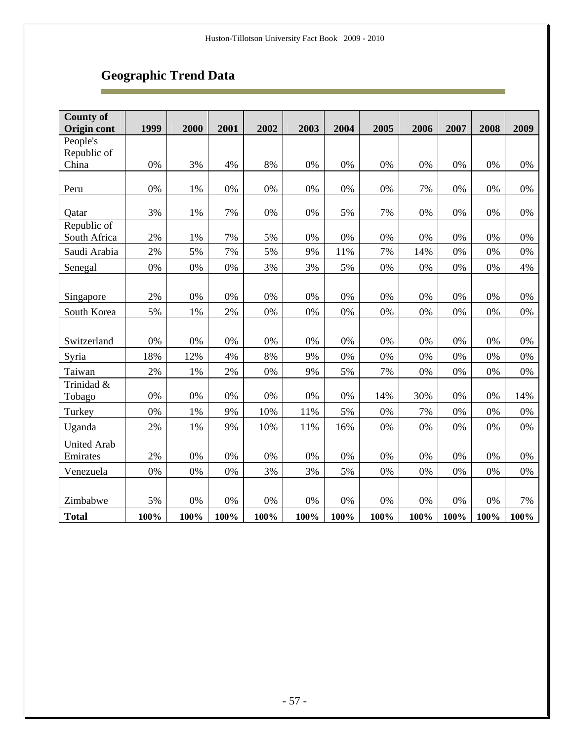Ē

| <b>County of</b><br><b>Origin cont</b> | 1999 | 2000 | 2001  | 2002  | 2003 | 2004 | 2005 | 2006 | 2007 | 2008 | 2009  |
|----------------------------------------|------|------|-------|-------|------|------|------|------|------|------|-------|
| People's                               |      |      |       |       |      |      |      |      |      |      |       |
| Republic of                            |      |      |       |       |      |      |      |      |      |      |       |
| China                                  | 0%   | 3%   | 4%    | 8%    | 0%   | 0%   | 0%   | 0%   | 0%   | 0%   | 0%    |
|                                        |      |      |       |       |      |      |      |      |      |      |       |
| Peru                                   | 0%   | 1%   | 0%    | 0%    | 0%   | 0%   | 0%   | 7%   | 0%   | 0%   | 0%    |
| Qatar                                  | 3%   | 1%   | 7%    | 0%    | 0%   | 5%   | 7%   | 0%   | 0%   | 0%   | 0%    |
| Republic of                            |      |      |       |       |      |      |      |      |      |      |       |
| South Africa                           | 2%   | 1%   | 7%    | 5%    | 0%   | 0%   | 0%   | 0%   | 0%   | 0%   | 0%    |
| Saudi Arabia                           | 2%   | 5%   | 7%    | 5%    | 9%   | 11%  | 7%   | 14%  | 0%   | 0%   | 0%    |
| Senegal                                | 0%   | 0%   | $0\%$ | 3%    | 3%   | 5%   | 0%   | 0%   | 0%   | 0%   | 4%    |
|                                        |      |      |       |       |      |      |      |      |      |      |       |
| Singapore                              | 2%   | 0%   | 0%    | 0%    | 0%   | 0%   | 0%   | 0%   | 0%   | 0%   | 0%    |
| South Korea                            | 5%   | 1%   | 2%    | 0%    | 0%   | 0%   | 0%   | 0%   | 0%   | 0%   | 0%    |
|                                        |      |      |       |       |      |      |      |      |      |      |       |
| Switzerland                            | 0%   | 0%   | 0%    | 0%    | 0%   | 0%   | 0%   | 0%   | 0%   | 0%   | 0%    |
| Syria                                  | 18%  | 12%  | 4%    | 8%    | 9%   | 0%   | 0%   | 0%   | 0%   | 0%   | 0%    |
| Taiwan                                 | 2%   | 1%   | 2%    | 0%    | 9%   | 5%   | 7%   | 0%   | 0%   | 0%   | 0%    |
| Trinidad &<br>Tobago                   | 0%   | 0%   | 0%    | 0%    | 0%   | 0%   | 14%  | 30%  | 0%   | 0%   | 14%   |
| Turkey                                 | 0%   | 1%   | 9%    | 10%   | 11%  | 5%   | 0%   | 7%   | 0%   | 0%   | 0%    |
| Uganda                                 | 2%   | 1%   | 9%    | 10%   | 11%  | 16%  | 0%   | 0%   | 0%   | 0%   | 0%    |
|                                        |      |      |       |       |      |      |      |      |      |      |       |
| <b>United Arab</b><br>Emirates         | 2%   | 0%   | 0%    | 0%    | 0%   | 0%   | 0%   | 0%   | 0%   | 0%   | 0%    |
| Venezuela                              | 0%   | 0%   | 0%    | 3%    | 3%   | 5%   | 0%   | 0%   | 0%   | 0%   | $0\%$ |
|                                        |      |      |       |       |      |      |      |      |      |      |       |
| Zimbabwe                               | 5%   | 0%   | 0%    | $0\%$ | 0%   | 0%   | 0%   | 0%   | 0%   | 0%   | 7%    |
| <b>Total</b>                           | 100% | 100% | 100%  | 100%  | 100% | 100% | 100% | 100% | 100% | 100% | 100%  |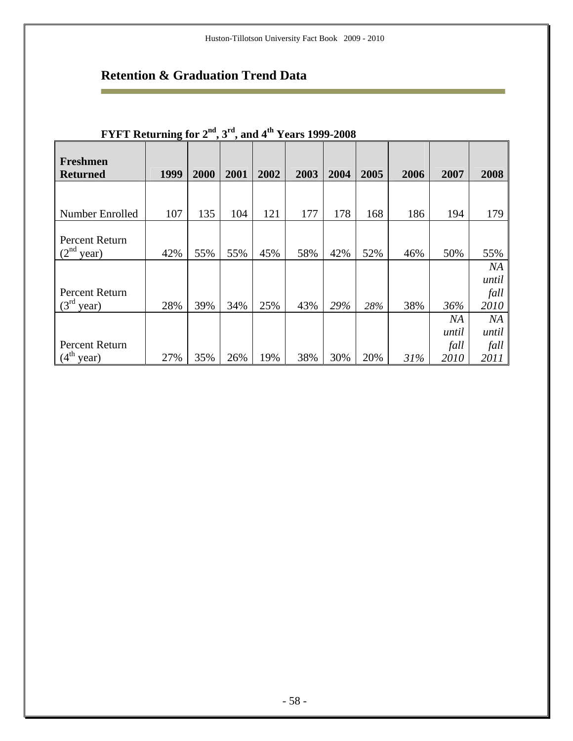# **Retention & Graduation Trend Data**

÷

| <b>FIFI Keturning for 2</b> , 3, and 4 <b>Fears</b> 1999-2008 |      |      |      |      |      |      |      |      |       |             |  |  |  |
|---------------------------------------------------------------|------|------|------|------|------|------|------|------|-------|-------------|--|--|--|
| Freshmen<br><b>Returned</b>                                   | 1999 | 2000 | 2001 | 2002 | 2003 | 2004 | 2005 | 2006 | 2007  | 2008        |  |  |  |
| Number Enrolled                                               | 107  | 135  | 104  | 121  | 177  | 178  | 168  | 186  | 194   | 179         |  |  |  |
|                                                               |      |      |      |      |      |      |      |      |       |             |  |  |  |
| Percent Return<br>$(2^{\text{nd}})$<br>year)                  | 42%  | 55%  | 55%  | 45%  | 58%  | 42%  | 52%  | 46%  | 50%   | 55%         |  |  |  |
|                                                               |      |      |      |      |      |      |      |      |       | NA<br>until |  |  |  |
| Percent Return                                                |      |      |      |      |      |      |      |      |       | fall        |  |  |  |
| $(3^{rd}$<br>year)                                            | 28%  | 39%  | 34%  | 25%  | 43%  | 29%  | 28%  | 38%  | 36%   | 2010        |  |  |  |
|                                                               |      |      |      |      |      |      |      |      | NA    | NA          |  |  |  |
|                                                               |      |      |      |      |      |      |      |      | until | until       |  |  |  |
| Percent Return                                                |      |      |      |      |      |      |      |      | fall  | fall        |  |  |  |
| $(4th$ year)                                                  | 27%  | 35%  | 26%  | 19%  | 38%  | 30%  | 20%  | 31%  | 2010  | 2011        |  |  |  |

### **FYFT Returning for 2nd, 3rd, and 4th Years 1999-2008**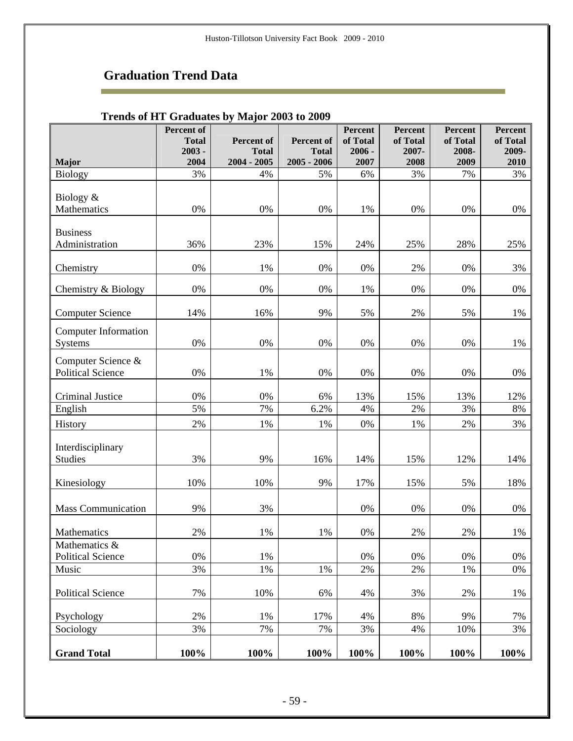r.

|                                                |                                        | Trenus of ITT Graugates by Major 2009 to 2009 |                            |                                 |                              |                              |                                     |
|------------------------------------------------|----------------------------------------|-----------------------------------------------|----------------------------|---------------------------------|------------------------------|------------------------------|-------------------------------------|
|                                                | Percent of<br><b>Total</b><br>$2003 -$ | <b>Percent of</b><br><b>Total</b>             | Percent of<br><b>Total</b> | Percent<br>of Total<br>$2006 -$ | Percent<br>of Total<br>2007- | Percent<br>of Total<br>2008- | <b>Percent</b><br>of Total<br>2009- |
| <b>Major</b>                                   | 2004                                   | $2004 - 2005$                                 | $2005 - 2006$              | 2007                            | 2008                         | 2009                         | 2010                                |
| <b>Biology</b>                                 | 3%                                     | 4%                                            | 5%                         | 6%                              | 3%                           | 7%                           | 3%                                  |
| Biology &<br>Mathematics                       | 0%                                     | 0%                                            | $0\%$                      | 1%                              | 0%                           | 0%                           | 0%                                  |
| <b>Business</b><br>Administration              | 36%                                    | 23%                                           | 15%                        | 24%                             | 25%                          | 28%                          | 25%                                 |
| Chemistry                                      | 0%                                     | 1%                                            | 0%                         | 0%                              | 2%                           | 0%                           | 3%                                  |
| Chemistry & Biology                            | 0%                                     | $0\%$                                         | $0\%$                      | 1%                              | 0%                           | 0%                           | 0%                                  |
| <b>Computer Science</b>                        | 14%                                    | 16%                                           | 9%                         | 5%                              | 2%                           | 5%                           | 1%                                  |
| <b>Computer Information</b><br>Systems         | 0%                                     | 0%                                            | 0%                         | 0%                              | 0%                           | 0%                           | 1%                                  |
| Computer Science &<br><b>Political Science</b> | 0%                                     | 1%                                            | 0%                         | 0%                              | 0%                           | 0%                           | 0%                                  |
| <b>Criminal Justice</b>                        | 0%                                     | 0%                                            | 6%                         | 13%                             | 15%                          | 13%                          | 12%                                 |
| English                                        | 5%                                     | 7%                                            | 6.2%                       | 4%                              | 2%                           | 3%                           | $8\%$                               |
| History                                        | 2%                                     | 1%                                            | 1%                         | 0%                              | 1%                           | 2%                           | 3%                                  |
| Interdisciplinary<br>Studies                   | 3%                                     | 9%                                            | 16%                        | 14%                             | 15%                          | 12%                          | 14%                                 |
| Kinesiology                                    | 10%                                    | 10%                                           | 9%                         | 17%                             | 15%                          | 5%                           | 18%                                 |
| <b>Mass Communication</b>                      | 9%                                     | 3%                                            |                            | 0%                              | 0%                           | $0\%$                        | $0\%$                               |
| Mathematics                                    | 2%                                     | 1%                                            | 1%                         | 0%                              | 2%                           | 2%                           | 1%                                  |
| Mathematics &<br><b>Political Science</b>      | $0\%$                                  | 1%                                            |                            | 0%                              | 0%                           | 0%                           | $0\%$                               |
| Music                                          | 3%                                     | 1%                                            | 1%                         | 2%                              | 2%                           | 1%                           | 0%                                  |
| <b>Political Science</b>                       | 7%                                     | 10%                                           | 6%                         | 4%                              | 3%                           | 2%                           | 1%                                  |
| Psychology                                     | 2%                                     | 1%                                            | 17%                        | 4%                              | 8%                           | 9%                           | 7%                                  |
| Sociology                                      | 3%                                     | 7%                                            | 7%                         | 3%                              | 4%                           | 10%                          | 3%                                  |
| <b>Grand Total</b>                             | 100%                                   | 100%                                          | 100%                       | 100%                            | 100%                         | 100%                         | 100%                                |

### **Trends of HT Graduates by Major 2003 to 2009**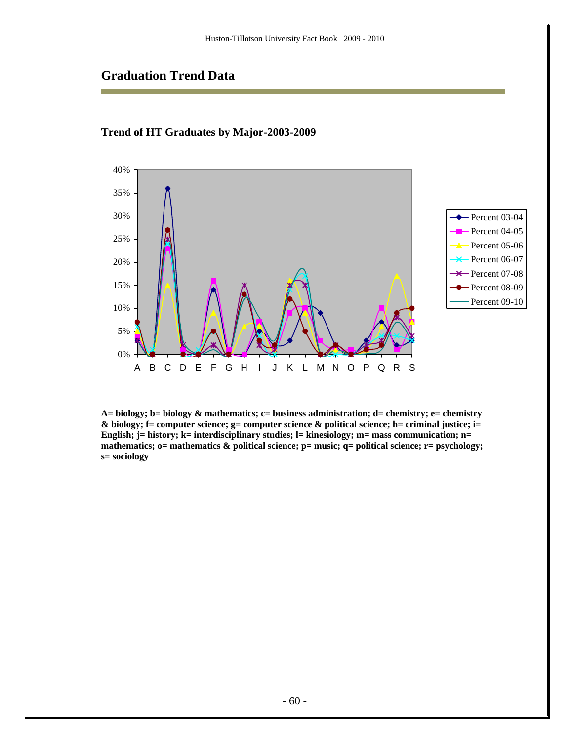#### 0% 5% 10% 15% 20% 25% 30% 35% 40% ABCDE FGH I J K LMNOPQRS Percent 03-04 Percent  $04-05$ Percent 05-06 Percent 06-07  $\frac{4}{100}$  Percent 07-08 - Percent 08-09 Percent 09-10

#### **Trend of HT Graduates by Major-2003-2009**

**A= biology; b= biology & mathematics; c= business administration; d= chemistry; e= chemistry & biology; f= computer science; g= computer science & political science; h= criminal justice; i= English; j= history; k= interdisciplinary studies; l= kinesiology; m= mass communication; n= mathematics; o= mathematics & political science; p= music; q= political science; r= psychology; s= sociology**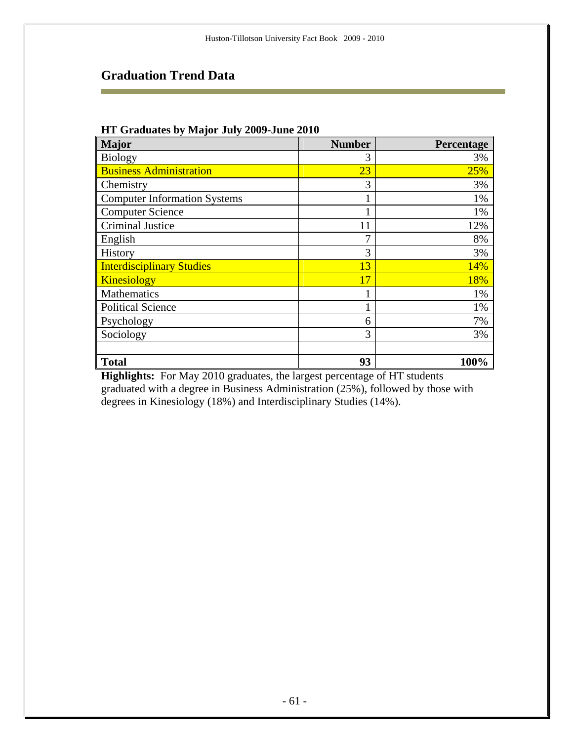m.

#### **HT Graduates by Major July 2009-June 2010**

| <b>Major</b>                        | <b>Number</b> | Percentage |
|-------------------------------------|---------------|------------|
| <b>Biology</b>                      | 3             | 3%         |
| <b>Business Administration</b>      | 23            | 25%        |
| Chemistry                           | 3             | 3%         |
| <b>Computer Information Systems</b> |               | 1%         |
| <b>Computer Science</b>             |               | 1%         |
| <b>Criminal Justice</b>             | 11            | 12%        |
| English                             |               | 8%         |
| History                             | 3             | 3%         |
| <b>Interdisciplinary Studies</b>    | 13            | 14%        |
| <b>Kinesiology</b>                  | 17            | 18%        |
| <b>Mathematics</b>                  |               | 1%         |
| <b>Political Science</b>            |               | 1%         |
| Psychology                          | 6             | 7%         |
| Sociology                           | 3             | 3%         |
|                                     |               |            |
| <b>Total</b>                        | 93            | 100%       |

**Highlights:** For May 2010 graduates, the largest percentage of HT students graduated with a degree in Business Administration (25%), followed by those with degrees in Kinesiology (18%) and Interdisciplinary Studies (14%).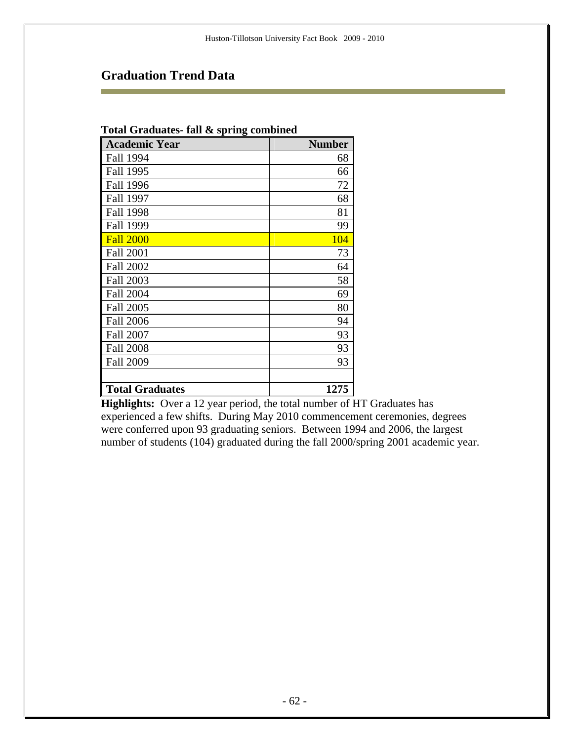#### **Total Graduates- fall & spring combined**

| <b>Academic Year</b>   | <b>Number</b> |
|------------------------|---------------|
| Fall 1994              | 68            |
| Fall 1995              | 66            |
| <b>Fall 1996</b>       | 72            |
| Fall 1997              | 68            |
| <b>Fall 1998</b>       | 81            |
| <b>Fall 1999</b>       | 99            |
| <b>Fall 2000</b>       | 104           |
| <b>Fall 2001</b>       | 73            |
| <b>Fall 2002</b>       | 64            |
| <b>Fall 2003</b>       | 58            |
| <b>Fall 2004</b>       | 69            |
| <b>Fall 2005</b>       | 80            |
| <b>Fall 2006</b>       | 94            |
| <b>Fall 2007</b>       | 93            |
| <b>Fall 2008</b>       | 93            |
| <b>Fall 2009</b>       | 93            |
|                        |               |
| <b>Total Graduates</b> | 1275          |

**Highlights:** Over a 12 year period, the total number of HT Graduates has experienced a few shifts. During May 2010 commencement ceremonies, degrees were conferred upon 93 graduating seniors. Between 1994 and 2006, the largest number of students (104) graduated during the fall 2000/spring 2001 academic year.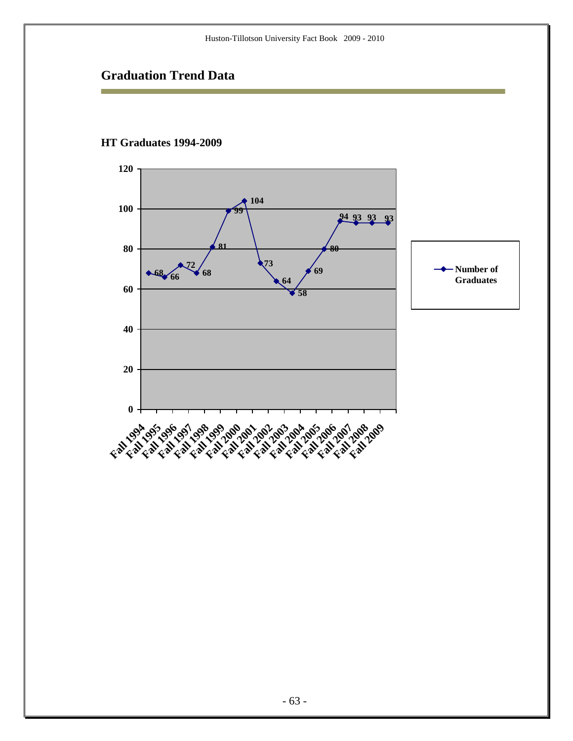

#### **HT Graduates 1994-2009**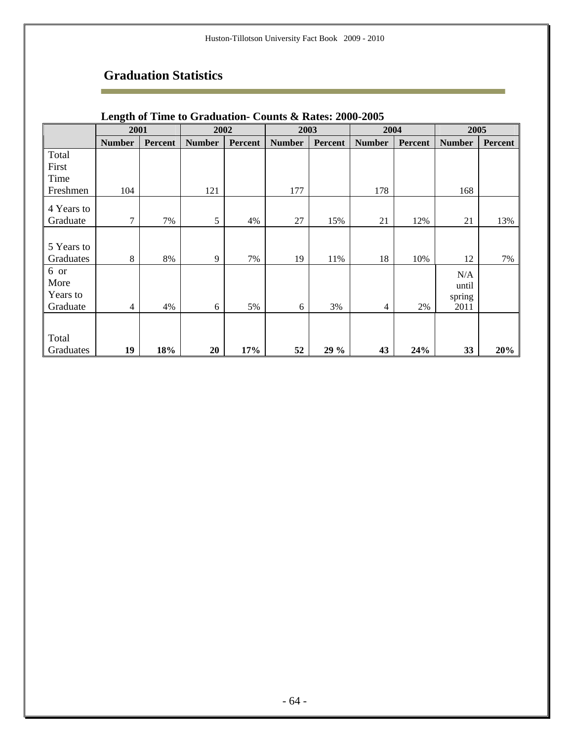# **Graduation Statistics**

÷

|            | o<br>2001     |         | 2002          |                | 2003          |         | 2004          |                | 2005          |         |
|------------|---------------|---------|---------------|----------------|---------------|---------|---------------|----------------|---------------|---------|
|            | <b>Number</b> | Percent | <b>Number</b> | <b>Percent</b> | <b>Number</b> | Percent | <b>Number</b> | <b>Percent</b> | <b>Number</b> | Percent |
| Total      |               |         |               |                |               |         |               |                |               |         |
| First      |               |         |               |                |               |         |               |                |               |         |
| Time       |               |         |               |                |               |         |               |                |               |         |
| Freshmen   | 104           |         | 121           |                | 177           |         | 178           |                | 168           |         |
| 4 Years to |               |         |               |                |               |         |               |                |               |         |
| Graduate   | $\tau$        | 7%      | 5             | 4%             | 27            | 15%     | 21            | 12%            | 21            | 13%     |
|            |               |         |               |                |               |         |               |                |               |         |
| 5 Years to |               |         |               |                |               |         |               |                |               |         |
| Graduates  | 8             | 8%      | 9             | 7%             | 19            | 11%     | 18            | 10%            | 12            | 7%      |
| 6 or       |               |         |               |                |               |         |               |                | N/A           |         |
| More       |               |         |               |                |               |         |               |                | until         |         |
| Years to   |               |         |               |                |               |         |               |                | spring        |         |
| Graduate   | 4             | 4%      | 6             | 5%             | 6             | 3%      | 4             | 2%             | 2011          |         |
|            |               |         |               |                |               |         |               |                |               |         |
| Total      |               |         |               |                |               |         |               |                |               |         |
| Graduates  | 19            | 18%     | 20            | 17%            | 52            | 29 %    | 43            | 24%            | 33            | 20%     |

### **Length of Time to Graduation- Counts & Rates: 2000-2005**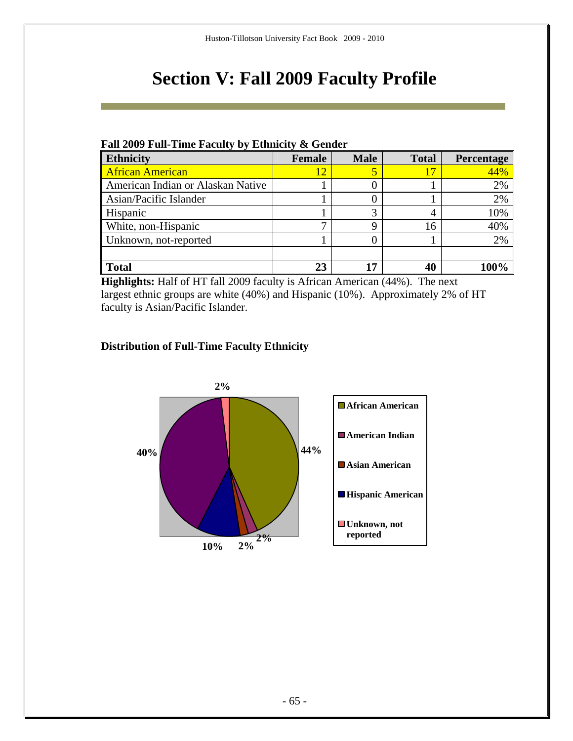# **Section V: Fall 2009 Faculty Profile**

#### **Fall 2009 Full-Time Faculty by Ethnicity & Gender**

| <b>Ethnicity</b>                  | <b>Female</b> | <b>Male</b> | <b>Total</b> | Percentage |
|-----------------------------------|---------------|-------------|--------------|------------|
| <b>African American</b>           | 12            |             | 17           | 44%        |
| American Indian or Alaskan Native |               |             |              | 2%         |
| Asian/Pacific Islander            |               |             |              | 2%         |
| Hispanic                          |               |             | 4            | 10%        |
| White, non-Hispanic               | −             | Q           | 16           | 40%        |
| Unknown, not-reported             |               |             |              | 2%         |
|                                   |               |             |              |            |
| <b>Total</b>                      | 23            |             | 40           |            |

**Highlights:** Half of HT fall 2009 faculty is African American (44%). The next largest ethnic groups are white (40%) and Hispanic (10%). Approximately 2% of HT faculty is Asian/Pacific Islander.

### **Distribution of Full-Time Faculty Ethnicity**

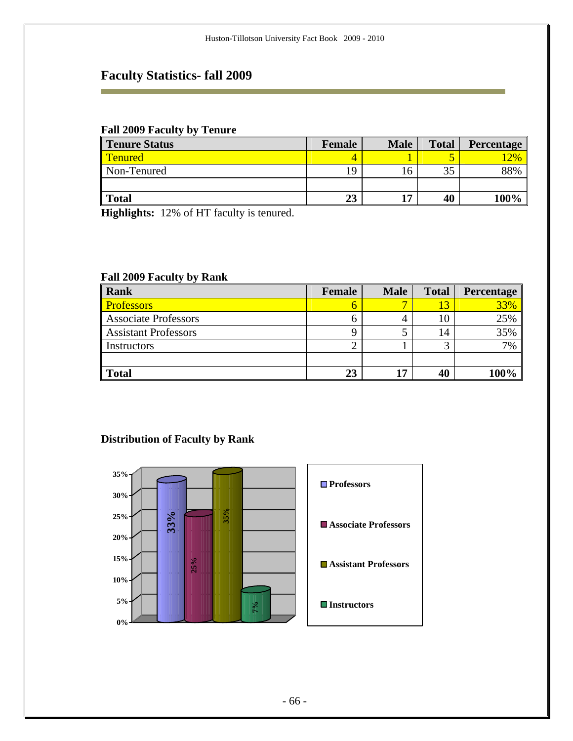# **Faculty Statistics- fall 2009**

#### **Fall 2009 Faculty by Tenure**

i.

| <b>Tenure Status</b> | Female | <b>Male</b> | <b>Total</b> | <b>Percentage</b> |
|----------------------|--------|-------------|--------------|-------------------|
| <b>Tenured</b>       |        |             |              | $\sqrt{2\%}$      |
| Non-Tenured          | 0      | 16          | $\sim$<br>JЈ | 88%               |
|                      |        |             |              |                   |
| <b>Total</b>         | 23     | 17          | 40           | 100%              |

**Highlights:** 12% of HT faculty is tenured.

#### **Fall 2009 Faculty by Rank**

| Rank                        | Female | <b>Male</b> | <b>Total</b> | Percentage |
|-----------------------------|--------|-------------|--------------|------------|
| <b>Professors</b>           |        |             |              | 33%        |
| <b>Associate Professors</b> |        |             |              | 25%        |
| <b>Assistant Professors</b> |        |             | 14           | 35%        |
| Instructors                 |        |             |              | 7%         |
|                             |        |             |              |            |
| <b>Total</b>                | 23     | 17          | 40           | 100%       |

### **Distribution of Faculty by Rank**

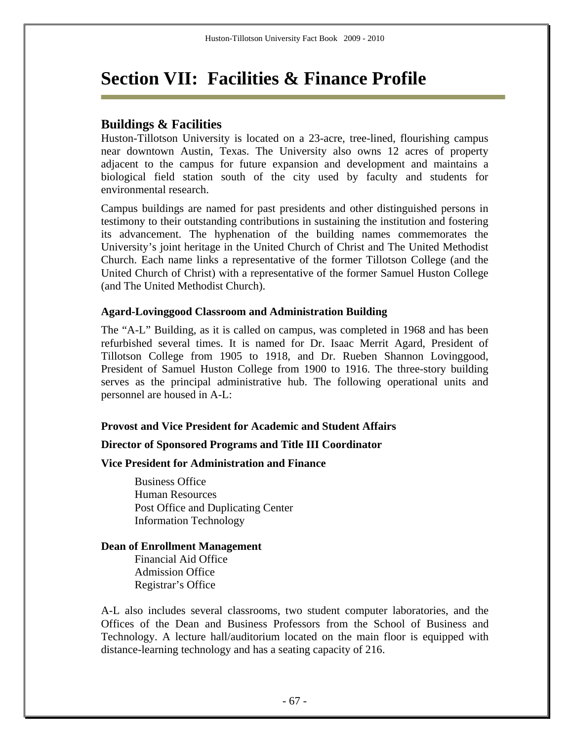# **Section VII: Facilities & Finance Profile**

### **Buildings & Facilities**

Huston-Tillotson University is located on a 23-acre, tree-lined, flourishing campus near downtown Austin, Texas. The University also owns 12 acres of property adjacent to the campus for future expansion and development and maintains a biological field station south of the city used by faculty and students for environmental research.

Campus buildings are named for past presidents and other distinguished persons in testimony to their outstanding contributions in sustaining the institution and fostering its advancement. The hyphenation of the building names commemorates the University's joint heritage in the United Church of Christ and The United Methodist Church. Each name links a representative of the former Tillotson College (and the United Church of Christ) with a representative of the former Samuel Huston College (and The United Methodist Church).

#### **Agard-Lovinggood Classroom and Administration Building**

The "A-L" Building, as it is called on campus, was completed in 1968 and has been refurbished several times. It is named for Dr. Isaac Merrit Agard, President of Tillotson College from 1905 to 1918, and Dr. Rueben Shannon Lovinggood, President of Samuel Huston College from 1900 to 1916. The three-story building serves as the principal administrative hub. The following operational units and personnel are housed in A-L:

#### **Provost and Vice President for Academic and Student Affairs**

#### **Director of Sponsored Programs and Title III Coordinator**

#### **Vice President for Administration and Finance**

 Business Office Human Resources Post Office and Duplicating Center Information Technology

#### **Dean of Enrollment Management**

Financial Aid Office Admission Office Registrar's Office

A-L also includes several classrooms, two student computer laboratories, and the Offices of the Dean and Business Professors from the School of Business and Technology. A lecture hall/auditorium located on the main floor is equipped with distance-learning technology and has a seating capacity of 216.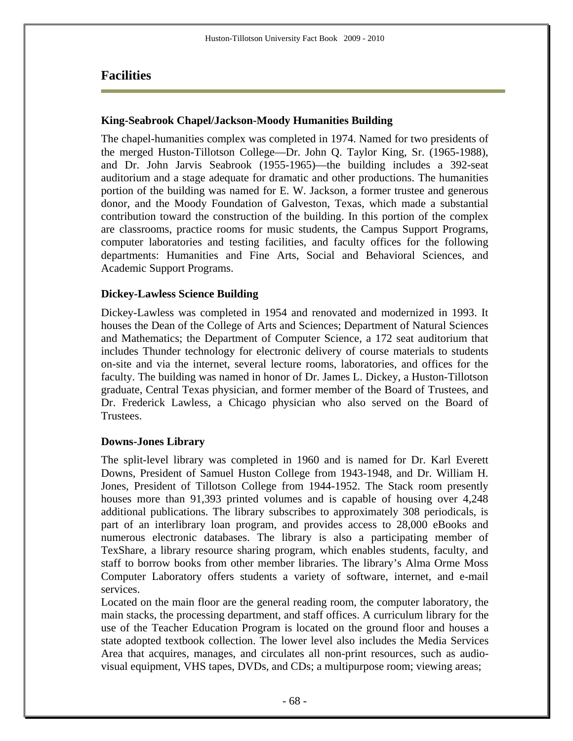### **Facilities**

#### **King-Seabrook Chapel/Jackson-Moody Humanities Building**

The chapel-humanities complex was completed in 1974. Named for two presidents of the merged Huston-Tillotson College—Dr. John Q. Taylor King, Sr. (1965-1988), and Dr. John Jarvis Seabrook (1955-1965)—the building includes a 392-seat auditorium and a stage adequate for dramatic and other productions. The humanities portion of the building was named for E. W. Jackson, a former trustee and generous donor, and the Moody Foundation of Galveston, Texas, which made a substantial contribution toward the construction of the building. In this portion of the complex are classrooms, practice rooms for music students, the Campus Support Programs, computer laboratories and testing facilities, and faculty offices for the following departments: Humanities and Fine Arts, Social and Behavioral Sciences, and Academic Support Programs.

#### **Dickey-Lawless Science Building**

Dickey-Lawless was completed in 1954 and renovated and modernized in 1993. It houses the Dean of the College of Arts and Sciences; Department of Natural Sciences and Mathematics; the Department of Computer Science, a 172 seat auditorium that includes Thunder technology for electronic delivery of course materials to students on-site and via the internet, several lecture rooms, laboratories, and offices for the faculty. The building was named in honor of Dr. James L. Dickey, a Huston-Tillotson graduate, Central Texas physician, and former member of the Board of Trustees, and Dr. Frederick Lawless, a Chicago physician who also served on the Board of Trustees.

#### **Downs-Jones Library**

The split-level library was completed in 1960 and is named for Dr. Karl Everett Downs, President of Samuel Huston College from 1943-1948, and Dr. William H. Jones, President of Tillotson College from 1944-1952. The Stack room presently houses more than 91,393 printed volumes and is capable of housing over 4,248 additional publications. The library subscribes to approximately 308 periodicals, is part of an interlibrary loan program, and provides access to 28,000 eBooks and numerous electronic databases. The library is also a participating member of TexShare, a library resource sharing program, which enables students, faculty, and staff to borrow books from other member libraries. The library's Alma Orme Moss Computer Laboratory offers students a variety of software, internet, and e-mail services.

Located on the main floor are the general reading room, the computer laboratory, the main stacks, the processing department, and staff offices. A curriculum library for the use of the Teacher Education Program is located on the ground floor and houses a state adopted textbook collection. The lower level also includes the Media Services Area that acquires, manages, and circulates all non-print resources, such as audiovisual equipment, VHS tapes, DVDs, and CDs; a multipurpose room; viewing areas;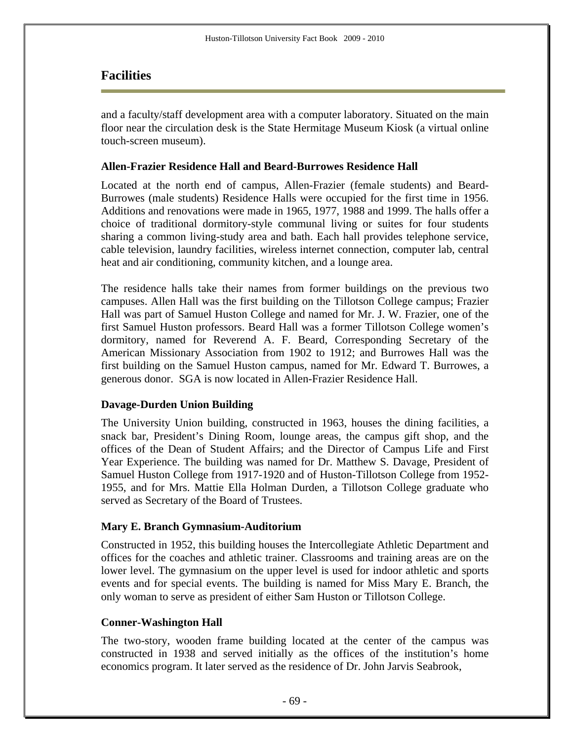### **Facilities**

and a faculty/staff development area with a computer laboratory. Situated on the main floor near the circulation desk is the State Hermitage Museum Kiosk (a virtual online touch-screen museum).

#### **Allen-Frazier Residence Hall and Beard-Burrowes Residence Hall**

Located at the north end of campus, Allen-Frazier (female students) and Beard-Burrowes (male students) Residence Halls were occupied for the first time in 1956. Additions and renovations were made in 1965, 1977, 1988 and 1999. The halls offer a choice of traditional dormitory-style communal living or suites for four students sharing a common living-study area and bath. Each hall provides telephone service, cable television, laundry facilities, wireless internet connection, computer lab, central heat and air conditioning, community kitchen, and a lounge area.

The residence halls take their names from former buildings on the previous two campuses. Allen Hall was the first building on the Tillotson College campus; Frazier Hall was part of Samuel Huston College and named for Mr. J. W. Frazier, one of the first Samuel Huston professors. Beard Hall was a former Tillotson College women's dormitory, named for Reverend A. F. Beard, Corresponding Secretary of the American Missionary Association from 1902 to 1912; and Burrowes Hall was the first building on the Samuel Huston campus, named for Mr. Edward T. Burrowes, a generous donor. SGA is now located in Allen-Frazier Residence Hall.

### **Davage-Durden Union Building**

The University Union building, constructed in 1963, houses the dining facilities, a snack bar, President's Dining Room, lounge areas, the campus gift shop, and the offices of the Dean of Student Affairs; and the Director of Campus Life and First Year Experience. The building was named for Dr. Matthew S. Davage, President of Samuel Huston College from 1917-1920 and of Huston-Tillotson College from 1952- 1955, and for Mrs. Mattie Ella Holman Durden, a Tillotson College graduate who served as Secretary of the Board of Trustees.

#### **Mary E. Branch Gymnasium-Auditorium**

Constructed in 1952, this building houses the Intercollegiate Athletic Department and offices for the coaches and athletic trainer. Classrooms and training areas are on the lower level. The gymnasium on the upper level is used for indoor athletic and sports events and for special events. The building is named for Miss Mary E. Branch, the only woman to serve as president of either Sam Huston or Tillotson College.

#### **Conner-Washington Hall**

The two-story, wooden frame building located at the center of the campus was constructed in 1938 and served initially as the offices of the institution's home economics program. It later served as the residence of Dr. John Jarvis Seabrook,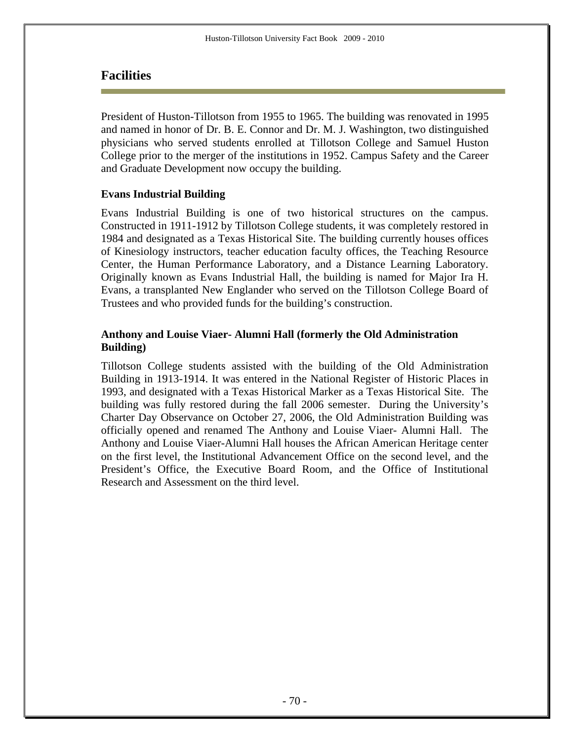### **Facilities**

President of Huston-Tillotson from 1955 to 1965. The building was renovated in 1995 and named in honor of Dr. B. E. Connor and Dr. M. J. Washington, two distinguished physicians who served students enrolled at Tillotson College and Samuel Huston College prior to the merger of the institutions in 1952. Campus Safety and the Career and Graduate Development now occupy the building.

#### **Evans Industrial Building**

Evans Industrial Building is one of two historical structures on the campus. Constructed in 1911-1912 by Tillotson College students, it was completely restored in 1984 and designated as a Texas Historical Site. The building currently houses offices of Kinesiology instructors, teacher education faculty offices, the Teaching Resource Center, the Human Performance Laboratory, and a Distance Learning Laboratory. Originally known as Evans Industrial Hall, the building is named for Major Ira H. Evans, a transplanted New Englander who served on the Tillotson College Board of Trustees and who provided funds for the building's construction.

### **Anthony and Louise Viaer- Alumni Hall (formerly the Old Administration Building)**

Tillotson College students assisted with the building of the Old Administration Building in 1913-1914. It was entered in the National Register of Historic Places in 1993, and designated with a Texas Historical Marker as a Texas Historical Site. The building was fully restored during the fall 2006 semester. During the University's Charter Day Observance on October 27, 2006, the Old Administration Building was officially opened and renamed The Anthony and Louise Viaer- Alumni Hall. The Anthony and Louise Viaer-Alumni Hall houses the African American Heritage center on the first level, the Institutional Advancement Office on the second level, and the President's Office, the Executive Board Room, and the Office of Institutional Research and Assessment on the third level.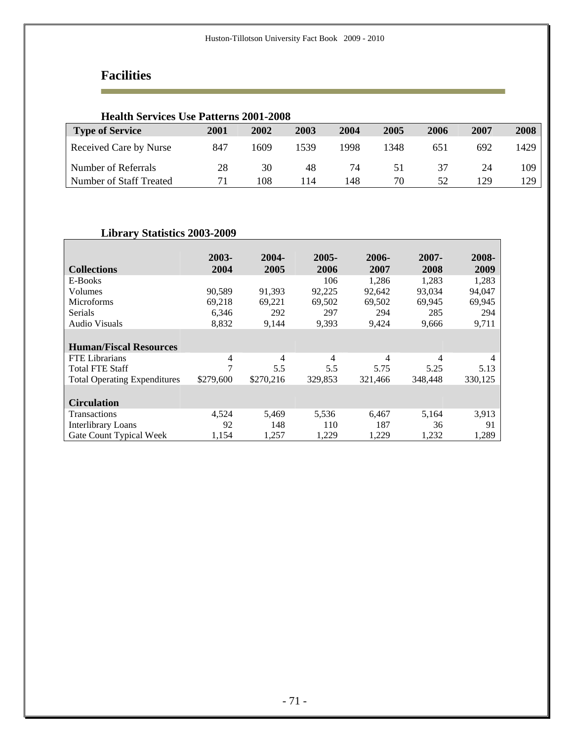# **Facilities**

÷

| <b>Health Services Use Patterns 2001-2008</b> |             |      |      |      |      |      |      |      |
|-----------------------------------------------|-------------|------|------|------|------|------|------|------|
| <b>Type of Service</b>                        | <b>2001</b> | 2002 | 2003 | 2004 | 2005 | 2006 | 2007 | 2008 |
| Received Care by Nurse                        | 847         | 1609 | 1539 | 1998 | 1348 | 651  | 692  | 1429 |
| Number of Referrals                           | 28          | 30   | 48   | 74   | 51   | 37   | 24   | 109  |
| Number of Staff Treated                       | 71          | 108  | 114  | 148  | 70   | 52   | 129  | 129. |

### **Library Statistics 2003-2009**

|                                     | 2003-     | 2004-     | 2005-   | 2006-   | 2007-   | 2008-          |
|-------------------------------------|-----------|-----------|---------|---------|---------|----------------|
| <b>Collections</b>                  | 2004      | 2005      | 2006    | 2007    | 2008    | 2009           |
| E-Books                             |           |           | 106     | 1,286   | 1.283   | 1,283          |
| Volumes                             | 90,589    | 91,393    | 92,225  | 92,642  | 93,034  | 94,047         |
| <b>Microforms</b>                   | 69,218    | 69,221    | 69,502  | 69,502  | 69,945  | 69,945         |
| Serials                             | 6,346     | 292       | 297     | 294     | 285     | 294            |
| <b>Audio Visuals</b>                | 8,832     | 9,144     | 9,393   | 9,424   | 9,666   | 9,711          |
|                                     |           |           |         |         |         |                |
| <b>Human/Fiscal Resources</b>       |           |           |         |         |         |                |
| <b>FTE</b> Librarians               | 4         | 4         | 4       | 4       | 4       | $\overline{4}$ |
| <b>Total FTE Staff</b>              | 7         | 5.5       | 5.5     | 5.75    | 5.25    | 5.13           |
| <b>Total Operating Expenditures</b> | \$279,600 | \$270,216 | 329,853 | 321,466 | 348,448 | 330,125        |
|                                     |           |           |         |         |         |                |
| <b>Circulation</b>                  |           |           |         |         |         |                |
| Transactions                        | 4,524     | 5,469     | 5,536   | 6,467   | 5,164   | 3,913          |
| <b>Interlibrary Loans</b>           | 92        | 148       | 110     | 187     | 36      | 91             |
| Gate Count Typical Week             | 1,154     | 1,257     | 1,229   | 1,229   | 1,232   | 1,289          |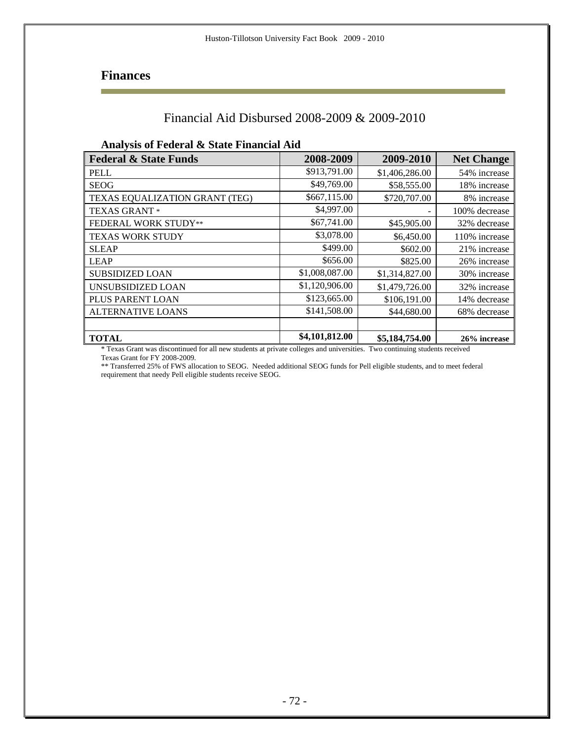## **Finances**

## Financial Aid Disbursed 2008-2009 & 2009-2010

#### **Analysis of Federal & State Financial Aid**

| <b>Federal &amp; State Funds</b> | 2008-2009      | 2009-2010      | <b>Net Change</b> |
|----------------------------------|----------------|----------------|-------------------|
| <b>PELL</b>                      | \$913,791.00   | \$1,406,286.00 | 54% increase      |
| <b>SEOG</b>                      | \$49,769.00    | \$58,555.00    | 18% increase      |
| TEXAS EQUALIZATION GRANT (TEG)   | \$667,115.00   | \$720,707.00   | 8% increase       |
| <b>TEXAS GRANT *</b>             | \$4,997.00     |                | 100% decrease     |
| <b>FEDERAL WORK STUDY**</b>      | \$67,741.00    | \$45,905.00    | 32% decrease      |
| <b>TEXAS WORK STUDY</b>          | \$3,078.00     | \$6,450.00     | 110% increase     |
| <b>SLEAP</b>                     | \$499.00       | \$602.00       | 21% increase      |
| <b>LEAP</b>                      | \$656.00       | \$825.00       | 26% increase      |
| <b>SUBSIDIZED LOAN</b>           | \$1,008,087.00 | \$1,314,827.00 | 30% increase      |
| UNSUBSIDIZED LOAN                | \$1,120,906.00 | \$1,479,726.00 | 32% increase      |
| PLUS PARENT LOAN                 | \$123,665.00   | \$106,191.00   | 14% decrease      |
| <b>ALTERNATIVE LOANS</b>         | \$141,508.00   | \$44,680.00    | 68% decrease      |
|                                  |                |                |                   |
| <b>TOTAL</b>                     | \$4,101,812.00 | \$5,184,754.00 | 26% increase      |

\* Texas Grant was discontinued for all new students at private colleges and universities. Two continuing students received Texas Grant for FY 2008-2009.

\*\* Transferred 25% of FWS allocation to SEOG. Needed additional SEOG funds for Pell eligible students, and to meet federal requirement that needy Pell eligible students receive SEOG.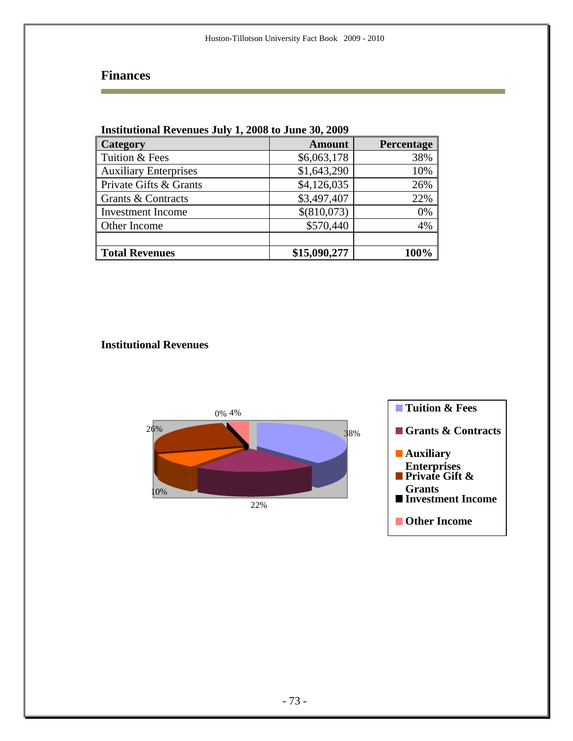## **Finances**

Ē.

| <b>Institutional Revenues July 1, 2008 to June 30, 2009</b> |               |            |  |  |
|-------------------------------------------------------------|---------------|------------|--|--|
| Category                                                    | <b>Amount</b> | Percentage |  |  |
| Tuition & Fees                                              | \$6,063,178   | 38%        |  |  |
| <b>Auxiliary Enterprises</b>                                | \$1,643,290   | 10%        |  |  |
| Private Gifts & Grants                                      | \$4,126,035   | 26%        |  |  |
| Grants & Contracts                                          | \$3,497,407   | 22%        |  |  |
| <b>Investment Income</b>                                    | \$(810,073)   | 0%         |  |  |
| Other Income                                                | \$570,440     | 4%         |  |  |
|                                                             |               |            |  |  |
| <b>Total Revenues</b>                                       | \$15,090,277  | 100%       |  |  |

### **Institutional Revenues**

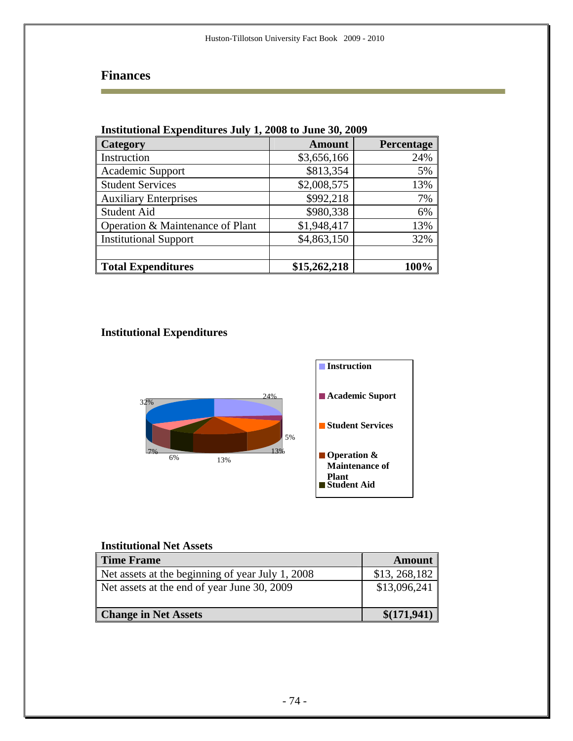## **Finances**

Ē.

| msututional expenditures July 1, 2000 to Julie 50, 2007 |               |            |  |  |  |
|---------------------------------------------------------|---------------|------------|--|--|--|
| Category                                                | <b>Amount</b> | Percentage |  |  |  |
| Instruction                                             | \$3,656,166   | 24%        |  |  |  |
| Academic Support                                        | \$813,354     | 5%         |  |  |  |
| <b>Student Services</b>                                 | \$2,008,575   | 13%        |  |  |  |
| <b>Auxiliary Enterprises</b>                            | \$992,218     | 7%         |  |  |  |
| <b>Student Aid</b>                                      | \$980,338     | 6%         |  |  |  |
| Operation & Maintenance of Plant                        | \$1,948,417   | 13%        |  |  |  |
| <b>Institutional Support</b>                            | \$4,863,150   | 32%        |  |  |  |
|                                                         |               |            |  |  |  |
| <b>Total Expenditures</b>                               | \$15,262,218  | 100%       |  |  |  |

## **Institutional Expenditures July 1, 2008 to June 30, 2009**

### **Institutional Expenditures**



### **Institutional Net Assets**

| <b>Time Frame</b>                                | <b>Amount</b>  |
|--------------------------------------------------|----------------|
| Net assets at the beginning of year July 1, 2008 | \$13, 268, 182 |
| Net assets at the end of year June 30, 2009      | \$13,096,241   |
| <b>Change in Net Assets</b>                      | \$(171,941)    |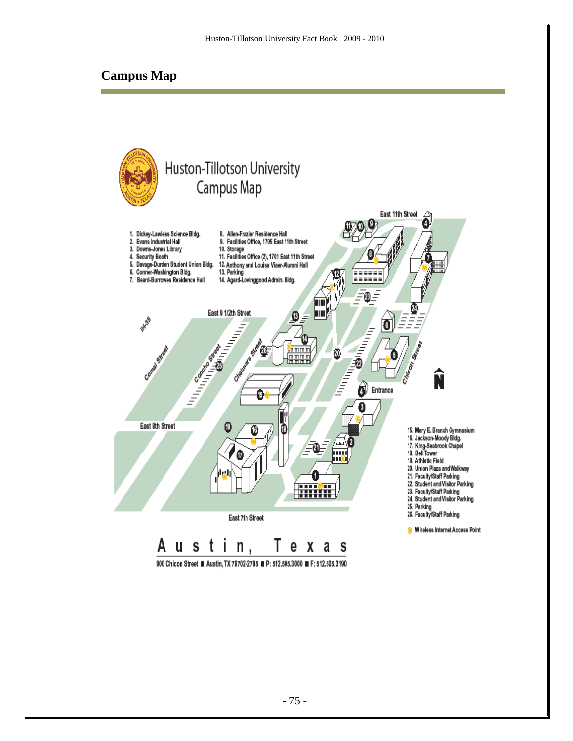### **Campus Map**